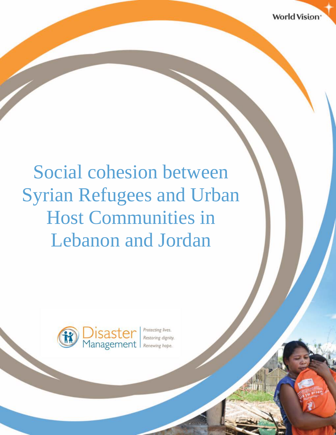# Social cohesion between Syrian Refugees and Urban Host Communities in Lebanon and Jordan

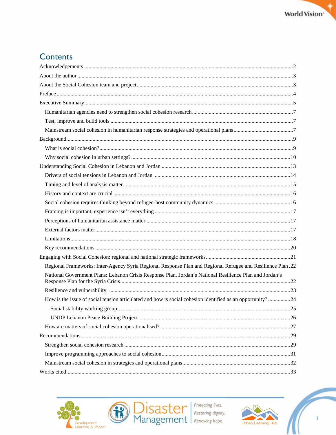## Contents

| Regional Frameworks: Inter-Agency Syria Regional Response Plan and Regional Refugee and Resilience Plan .22 |     |
|-------------------------------------------------------------------------------------------------------------|-----|
| National Government Plans: Lebanon Crisis Response Plan, Jordan's National Resilience Plan and Jordan's     |     |
|                                                                                                             |     |
| How is the issue of social tension articulated and how is social cohesion identified as an opportunity?24   |     |
|                                                                                                             | .25 |
|                                                                                                             |     |
|                                                                                                             |     |
|                                                                                                             |     |
|                                                                                                             |     |
|                                                                                                             |     |
|                                                                                                             |     |
|                                                                                                             |     |



R



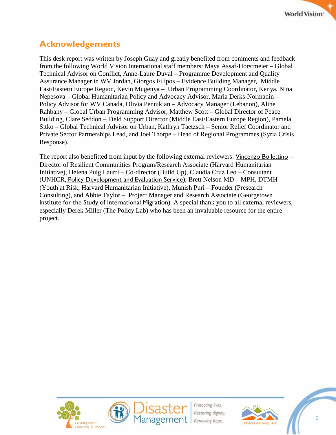

## <span id="page-2-0"></span>**Acknowledgements**

This desk report was written by Joseph Guay and greatly benefited from comments and feedback from the following World Vision International staff members: Maya Assaf-Horstmeier – Global Technical Advisor on Conflict, Anne-Laure Duval – Programme Development and Quality Assurance Manager in WV Jordan, Giorgos Filipos – Evidence Building Manager, Middle East/Eastern Europe Region, Kevin Mugenya – Urban Programming Coordinator, Kenya, Nina Nepesova – Global Humanitarian Policy and Advocacy Advisor, Maria Derks-Normadin – Policy Advisor for WV Canada, Olivia Pennikian – Advocacy Manager (Lebanon), Aline Rahbany – Global Urban Programming Advisor, Matthew Scott – Global Director of Peace Building, Clare Seddon – Field Support Director (Middle East/Eastern Europe Region), Pamela Sitko – Global Technical Advisor on Urban, Kathryn Taetzsch – Senior Relief Coordinator and Private Sector Partnerships Lead, and Joel Thorpe – Head of Regional Programmes (Syria Crisis Response).

The report also benefitted from input by the following external reviewers: [Vincenzo Bollettino](http://hhi.harvard.edu/people/vincenzo-bollettino) – Director of Resilient Communities Program/Research Associate (Harvard Humanitarian Initiative), Helena Puig Laurri – Co-director (Build Up), Claudia Cruz Leo – Consultant (UNHCR, Policy [Development](https://www.linkedin.com/company/166589?trk=prof-exp-company-name) and Evaluation Service), Brett Nelson MD – MPH, DTMH (Youth at Risk, Harvard Humanitarian Initiative), Munish Puri – Founder (Presearch Consulting), and Abbie Taylor – Project Manager and Research Associate (Georgetown [Institute for the Study of International Migration](https://isim.georgetown.edu/)). A special thank you to all external reviewers, especially Derek Miller (The Policy Lab) who has been an invaluable resource for the entire project.





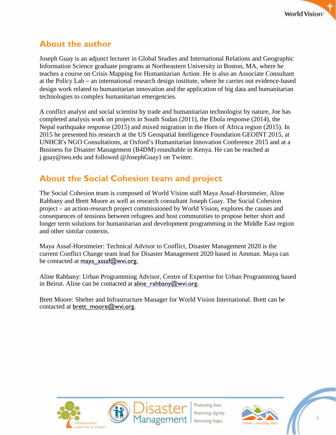

## <span id="page-3-0"></span>**About the author**

Joseph Guay is an adjunct lecturer in Global Studies and International Relations and Geographic Information Science graduate programs at Northeastern University in Boston, MA, where he teaches a course on Crisis Mapping for Humanitarian Action. He is also an Associate Consultant at the Policy Lab – an international research design institute, where he carries out evidence-based design work related to humanitarian innovation and the application of big data and humanitarian technologies to complex humanitarian emergencies.

A conflict analyst and social scientist by trade and humanitarian technologist by nature, Joe has completed analysis work on projects in South Sudan (2011), the Ebola response (2014), the Nepal earthquake response (2015) and mixed migration in the Horn of Africa region (2015). In 2015 he presented his research at the US Geospatial Intelligence Foundation GEOINT 2015, at UNHCR's NGO Consultations, at Oxford's Humanitarian Innovation Conference 2015 and at a Business for Disaster Management (B4DM) roundtable in Kenya. He can be reached at [j.guay@neu.edu](mailto:j.guay@neu.edu) and followed @JosephGuay1 on Twitter.

## <span id="page-3-1"></span>**About the Social Cohesion team and project**

The Social Cohesion team is composed of World Vision staff Maya Assaf-Horstmeier, Aline Rahbany and Brett Moore as well as research consultant Joseph Guay. The Social Cohesion project – an action-research project commissioned by World Vision, explores the causes and consequences of tensions between refugees and host communities to propose better short and longer term solutions for humanitarian and development programming in the Middle East region and other similar contexts.

Maya Assaf-Horstmeier: Technical Advisor to Conflict, Disaster Management 2020 is the current Conflict Change team lead for Disaster Management 2020 based in Amman. Maya can be contacted at maya assaf@wvi.org.

Aline Rahbany: Urban Programming Advisor, Centre of Expertise for Urban Programming based in Beirut. Aline can be contacted at aline  $rahbany@wwi.org$ .

Brett Moore: Shelter and Infrastructure Manager for World Vision International. Brett can be contacted at [brett\\_moore@wvi.org](mailto:brett_moore@wvi.org).







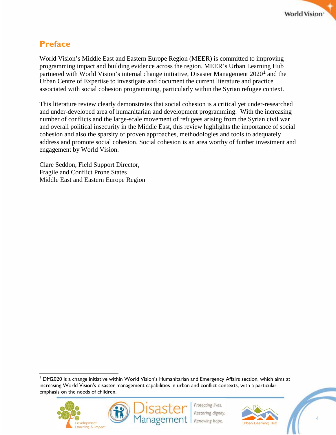

## <span id="page-4-0"></span>**Preface**

World Vision's Middle East and Eastern Europe Region (MEER) is committed to improving programming impact and building evidence across the region. MEER's Urban Learning Hub partnered with World Vision's internal change initiative, Disaster Management 2020<sup>[1](#page-4-1)</sup> and the Urban Centre of Expertise to investigate and document the current literature and practice associated with social cohesion programming, particularly within the Syrian refugee context.

This literature review clearly demonstrates that social cohesion is a critical yet under-researched and under-developed area of humanitarian and development programming. With the increasing number of conflicts and the large-scale movement of refugees arising from the Syrian civil war and overall political insecurity in the Middle East, this review highlights the importance of social cohesion and also the sparsity of proven approaches, methodologies and tools to adequately address and promote social cohesion. Social cohesion is an area worthy of further investment and engagement by World Vision.

Clare Seddon, Field Support Director, Fragile and Conflict Prone States Middle East and Eastern Europe Region

<span id="page-4-1"></span> <sup>1</sup> DM2020 is <sup>a</sup> change initiative within World Vision's Humanitarian and Emergency Affairs section, which aims at increasing World Vision's disaster management capabilities in urban and conflict contexts, with a particular emphasis on the needs of children.







4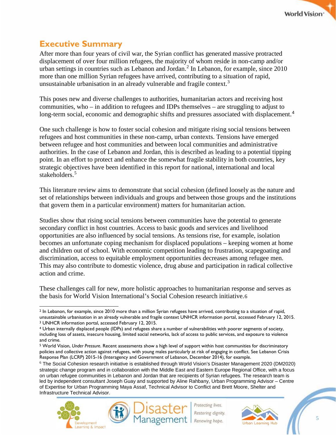## <span id="page-5-0"></span>**Executive Summary**

After more than four years of civil war, the Syrian conflict has generated massive protracted displacement of over four million refugees, the majority of whom reside in non-camp and/or urban settings in countries such as Lebanon and Jordan.<sup>[2](#page-5-1)</sup> In Lebanon, for example, since 2010 more than one million Syrian refugees have arrived, contributing to a situation of rapid, unsustainable urbanisation in an already vulnerable and fragile context.<sup>[3](#page-5-2)</sup>

This poses new and diverse challenges to authorities, humanitarian actors and receiving host communities, who – in addition to refugees and IDPs themselves – are struggling to adjust to long-term social, economic and demographic shifts and pressures associated with displacement.<sup>[4](#page-5-3)</sup>

One such challenge is how to foster social cohesion and mitigate rising social tensions between refugees and host communities in these non-camp, urban contexts. Tensions have emerged between refugee and host communities and between local communities and administrative authorities. In the case of Lebanon and Jordan, this is described as leading to a potential tipping point. In an effort to protect and enhance the somewhat fragile stability in both countries, key strategic objectives have been identified in this report for national, international and local stakeholders.<sup>[5](#page-5-4)</sup>

This literature review aims to demonstrate that social cohesion (defined loosely as the nature and set of relationships between individuals and groups and between those groups and the institutions that govern them in a particular environment) matters for humanitarian action.

Studies show that rising social tensions between communities have the potential to generate secondary conflict in host countries. Access to basic goods and services and livelihood opportunities are also influenced by social tensions. As tensions rise, for example, isolation becomes an unfortunate coping mechanism for displaced populations – keeping women at home and children out of school. With economic competition leading to frustration, scapegoating and discrimination, access to equitable employment opportunities decreases among refugee men. This may also contribute to domestic violence, drug abuse and participation in radical collective action and crime.

These challenges call for new, more holistic approaches to humanitarian response and serves as the basis for World Vision International's Social Cohesion research initiative.[6](#page-5-5)

<span id="page-5-5"></span><sup>6</sup> The Social Cohesion research initiative is established through World Vision's Disaster Management 2020 (DM2020) strategic change program and in collaboration with the Middle East and Eastern Europe Regional Office, with a focus on urban refugee communities in Lebanon and Jordan that are recipients of Syrian refugees. The research team is led by independent consultant Joseph Guay and supported by Aline Rahbany, Urban Programming Advisor – Centre of Expertise for Urban Programming Maya Assaf, Technical Advisor to Conflict and Brett Moore, Shelter and Infrastructure Technical Advisor.









<span id="page-5-1"></span> $\overline{a}$ <sup>2</sup> In Lebanon, for example, since 2010 more than a million Syrian refugees have arrived, contributing to a situation of rapid, unsustainable urbanisation in an already vulnerable and fragile context UNHCR information portal, accessed February 12, 2015.

<span id="page-5-2"></span><sup>3</sup> UNHCR information portal, accessed February 12, 2015.

<span id="page-5-3"></span><sup>4</sup> Urban internally displaced people (IDPs) and refugees share a number of vulnerabilities with poorer segments of society, including loss of assets, insecure housing, limited social networks, lack of access to public services, and exposure to violence and crime.

<span id="page-5-4"></span><sup>5</sup> World Vision, *Under Pressure*. Recent assessments show a high level of support within host communities for discriminatory policies and collective action against refugees, with young males particularly at risk of engaging in conflict. See Lebanon Crisis Response Plan (LCRP) 2015-16 (Interagency and Government of Lebanon, December 2014), for example.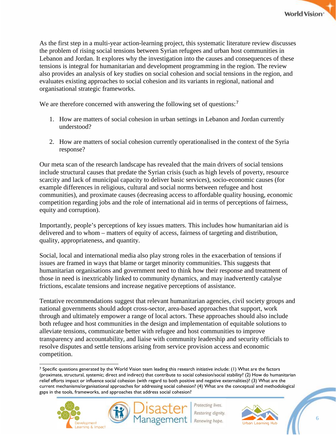As the first step in a multi-year action-learning project, this systematic literature review discusses the problem of rising social tensions between Syrian refugees and urban host communities in Lebanon and Jordan. It explores why the investigation into the causes and consequences of these tensions is integral for humanitarian and development programming in the region. The review also provides an analysis of key studies on social cohesion and social tensions in the region, and evaluates existing approaches to social cohesion and its variants in regional, national and organisational strategic frameworks.

We are therefore concerned with answering the following set of questions:<sup>[7](#page-6-0)</sup>

- 1. How are matters of social cohesion in urban settings in Lebanon and Jordan currently understood?
- 2. How are matters of social cohesion currently operationalised in the context of the Syria response?

Our meta scan of the research landscape has revealed that the main drivers of social tensions include structural causes that predate the Syrian crisis (such as high levels of poverty, resource scarcity and lack of municipal capacity to deliver basic services), socio-economic causes (for example differences in religious, cultural and social norms between refugee and host communities), and proximate causes (decreasing access to affordable quality housing, economic competition regarding jobs and the role of international aid in terms of perceptions of fairness, equity and corruption).

Importantly, people's perceptions of key issues matters. This includes how humanitarian aid is delivered and to whom – matters of equity of access, fairness of targeting and distribution, quality, appropriateness, and quantity.

Social, local and international media also play strong roles in the exacerbation of tensions if issues are framed in ways that blame or target minority communities. This suggests that humanitarian organisations and government need to think how their response and treatment of those in need is inextricably linked to community dynamics, and may inadvertently catalyse frictions, escalate tensions and increase negative perceptions of assistance.

Tentative recommendations suggest that relevant humanitarian agencies, civil society groups and national governments should adopt cross-sector, area-based approaches that support, work through and ultimately empower a range of local actors. These approaches should also include both refugee and host communities in the design and implementation of equitable solutions to alleviate tensions, communicate better with refugee and host communities to improve transparency and accountability, and liaise with community leadership and security officials to resolve disputes and settle tensions arising from service provision access and economic competition.

<span id="page-6-0"></span> $\overline{a}$ <sup>7</sup> Specific questions generated by the World Vision team leading this research initiative include: (1) What are the factors (proximate, structural, systemic; direct and indirect) that contribute to social cohesion/social stability? (2) How do humanitarian relief efforts impact or influence social cohesion (with regard to both positive and negative externalities)? (3) What are the current mechanisms/organisational approaches for addressing social cohesion? (4) What are the conceptual and methodological gaps in the tools, frameworks, and approaches that address social cohesion?



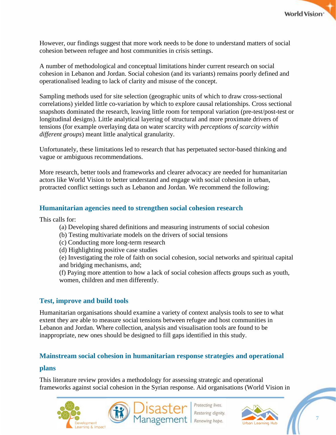

However, our findings suggest that more work needs to be done to understand matters of social cohesion between refugee and host communities in crisis settings.

A number of methodological and conceptual limitations hinder current research on social cohesion in Lebanon and Jordan. Social cohesion (and its variants) remains poorly defined and operationalised leading to lack of clarity and misuse of the concept.

Sampling methods used for site selection (geographic units of which to draw cross-sectional correlations) yielded little co-variation by which to explore causal relationships. Cross sectional snapshots dominated the research, leaving little room for temporal variation (pre-test/post-test or longitudinal designs). Little analytical layering of structural and more proximate drivers of tensions (for example overlaying data on water scarcity with *perceptions of scarcity within different groups*) meant little analytical granularity.

Unfortunately, these limitations led to research that has perpetuated sector-based thinking and vague or ambiguous recommendations.

More research, better tools and frameworks and clearer advocacy are needed for humanitarian actors like World Vision to better understand and engage with social cohesion in urban, protracted conflict settings such as Lebanon and Jordan. We recommend the following:

## <span id="page-7-0"></span>**Humanitarian agencies need to strengthen social cohesion research**

This calls for:

- (a) Developing shared definitions and measuring instruments of social cohesion
- (b) Testing multivariate models on the drivers of social tensions
- (c) Conducting more long-term research
- (d) Highlighting positive case studies

(e) Investigating the role of faith on social cohesion, social networks and spiritual capital and bridging mechanisms, and;

(f) Paying more attention to how a lack of social cohesion affects groups such as youth, women, children and men differently.

## <span id="page-7-1"></span>**Test, improve and build tools**

Humanitarian organisations should examine a variety of context analysis tools to see to what extent they are able to measure social tensions between refugee and host communities in Lebanon and Jordan. Where collection, analysis and visualisation tools are found to be inappropriate, new ones should be designed to fill gaps identified in this study.

## <span id="page-7-2"></span>**Mainstream social cohesion in humanitarian response strategies and operational**

#### **plans**

This literature review provides a methodology for assessing strategic and operational frameworks against social cohesion in the Syrian response. Aid organisations (World Vision in



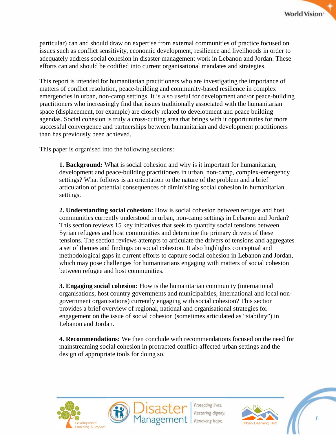particular) can and should draw on expertise from external communities of practice focused on issues such as conflict sensitivity, economic development, resilience and livelihoods in order to adequately address social cohesion in disaster management work in Lebanon and Jordan. These efforts can and should be codified into current organisational mandates and strategies.

This report is intended for humanitarian practitioners who are investigating the importance of matters of conflict resolution, peace-building and community-based resilience in complex emergencies in urban, non-camp settings. It is also useful for development and/or peace-building practitioners who increasingly find that issues traditionally associated with the humanitarian space (displacement, for example) are closely related to development and peace building agendas. Social cohesion is truly a cross-cutting area that brings with it opportunities for more successful convergence and partnerships between humanitarian and development practitioners than has previously been achieved.

This paper is organised into the following sections:

**1. Background:** What is social cohesion and why is it important for humanitarian, development and peace-building practitioners in urban, non-camp, complex-emergency settings? What follows is an orientation to the nature of the problem and a brief articulation of potential consequences of diminishing social cohesion in humanitarian settings.

**2. Understanding social cohesion:** How is social cohesion between refugee and host communities currently understood in urban, non-camp settings in Lebanon and Jordan? This section reviews 15 key initiatives that seek to quantify social tensions between Syrian refugees and host communities and determine the primary drivers of these tensions. The section reviews attempts to articulate the drivers of tensions and aggregates a set of themes and findings on social cohesion. It also highlights conceptual and methodological gaps in current efforts to capture social cohesion in Lebanon and Jordan, which may pose challenges for humanitarians engaging with matters of social cohesion between refugee and host communities.

**3. Engaging social cohesion:** How is the humanitarian community (international organisations, host country governments and municipalities, international and local nongovernment organisations) currently engaging with social cohesion? This section provides a brief overview of regional, national and organisational strategies for engagement on the issue of social cohesion (sometimes articulated as "stability") in Lebanon and Jordan.

**4. Recommendations:** We then conclude with recommendations focused on the need for mainstreaming social cohesion in protracted conflict-affected urban settings and the design of appropriate tools for doing so.





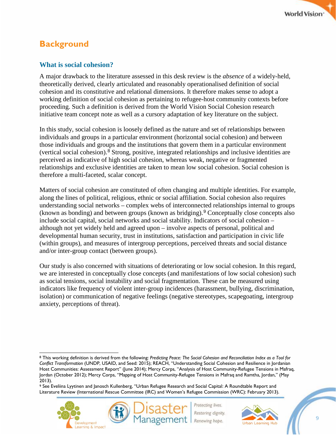## <span id="page-9-0"></span>**Background**

## <span id="page-9-1"></span>**What is social cohesion?**

A major drawback to the literature assessed in this desk review is the *absence* of a widely-held, theoretically derived, clearly articulated and reasonably operationalised definition of social cohesion and its constitutive and relational dimensions. It therefore makes sense to adopt a working definition of social cohesion as pertaining to refugee-host community contexts before proceeding. Such a definition is derived from the World Vision Social Cohesion research initiative team concept note as well as a cursory adaptation of key literature on the subject.

In this study, social cohesion is loosely defined as the nature and set of relationships between individuals and groups in a particular environment (horizontal social cohesion) and between those individuals and groups and the institutions that govern them in a particular environment (vertical social cohesion).[8](#page-9-2) Strong, positive, integrated relationships and inclusive identities are perceived as indicative of high social cohesion, whereas weak, negative or fragmented relationships and exclusive identities are taken to mean low social cohesion. Social cohesion is therefore a multi-faceted, scalar concept.

Matters of social cohesion are constituted of often changing and multiple identities. For example, along the lines of political, religious, ethnic or social affiliation. Social cohesion also requires understanding social networks – complex webs of interconnected relationships internal to groups (known as bonding) and between groups (known as bridging).[9](#page-9-3) Conceptually close concepts also include social capital, social networks and social stability. Indicators of social cohesion – although not yet widely held and agreed upon – involve aspects of personal, political and developmental human security, trust in institutions, satisfaction and participation in civic life (within groups), and measures of intergroup perceptions, perceived threats and social distance and/or inter-group contact (between groups).

Our study is also concerned with situations of deteriorating or low social cohesion. In this regard, we are interested in conceptually close concepts (and manifestations of low social cohesion) such as social tensions, social instability and social fragmentation. These can be measured using indicators like frequency of violent inter-group incidences (harassment, bullying, discrimination, isolation) or communication of negative feelings (negative stereotypes, scapegoating, intergroup anxiety, perceptions of threat).

<span id="page-9-3"></span><sup>9</sup> See Eveliina Lyytinen and Janosch Kullenberg, "Urban Refugee Research and Social Capital: A Roundtable Report and Literature Review (International Rescue Committee (IRC) and Women's Refugee Commission (WRC): February 2013).



Restoring dignity. Renewing hope.



9

<span id="page-9-2"></span> $\overline{a}$ <sup>8</sup> This working definition is derived from the following: *Predicting Peace: The Social Cohesion and Reconciliation Index as a Tool for Conflict Transformation* (UNDP, USAID, and Seed: 2015); REACH, "Understanding Social Cohesion and Resilience in Jordanian Host Communities: Assessment Report" (June 2014); Mercy Corps, "Analysis of Host Community-Refugee Tensions in Mafraq, Jordan (October 2012); Mercy Corps, "Mapping of Host Community-Refugee Tensions in Mafraq and Ramtha, Jordan," (May 2013).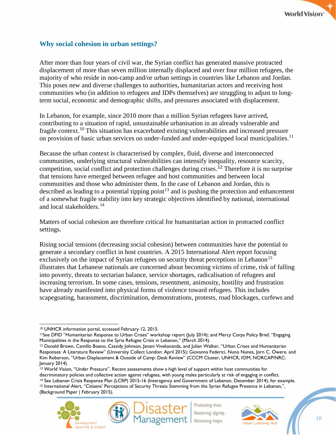## <span id="page-10-0"></span>**Why social cohesion in urban settings?**

After more than four years of civil war, the Syrian conflict has generated massive protracted displacement of more than seven million internally displaced and over four million refugees, the majority of who reside in non-camp and/or urban settings in countries like Lebanon and Jordan. This poses new and diverse challenges to authorities, humanitarian actors and receiving host communities who (in addition to refugees and IDPs themselves) are struggling to adjust to longterm social, economic and demographic shifts, and pressures associated with displacement.

In Lebanon, for example, since 2010 more than a million Syrian refugees have arrived, contributing to a situation of rapid, unsustainable urbanisation in an already vulnerable and fragile context.<sup>[10](#page-10-1)</sup> This situation has exacerbated existing vulnerabilities and increased pressure on provision of basic urban services on under-funded and under-equipped local municipalities.<sup>[11](#page-10-2)</sup>

Because the urban context is characterised by complex, fluid, diverse and interconnected communities, underlying structural vulnerabilities can intensify inequality, resource scarcity, competition, social conflict and protection challenges during crises.<sup>[12](#page-10-3)</sup> Therefore it is no surprise that tensions have emerged between refugee and host communities and between local communities and those who administer them. In the case of Lebanon and Jordan, this is described as leading to a potential tipping point<sup>[13](#page-10-4)</sup> and is pushing the protection and enhancement of a somewhat fragile stability into key strategic objectives identified by national, international and local stakeholders.[14](#page-10-5)

Matters of social cohesion are therefore critical for humanitarian action in protracted conflict settings.

Rising social tensions (decreasing social cohesion) between communities have the potential to generate a secondary conflict in host countries. A 2015 International Alert report focusing exclusively on the impact of Syrian refugees on security threat perceptions in Lebanon<sup>[15](#page-10-6)</sup> illustrates that Lebanese nationals are concerned about becoming victims of crime, risk of falling into poverty, threats to sectarian balance, service shortages, radicalisation of refugees and increasing terrorism. In some cases, tensions, resentment, animosity, hostility and frustration have already manifested into physical forms of violence toward refugees. This includes scapegoating, harassment, discrimination, demonstrations, protests, road blockages, curfews and

<span id="page-10-6"></span><span id="page-10-5"></span><span id="page-10-4"></span><sup>&</sup>lt;sup>13</sup> World Vision, "Under Pressure". Recent assessments show a high level of support within host communities for<br>discriminatory policies and collective action against refugees, with young males particularly at risk of enga <sup>14</sup> See Lebanon Crisis Response Plan (LCRP) 2015-16 (Interagency and Government of Lebanon, December 2014), for example. <sup>15</sup> International Alert, "Citizens' Perceptions of Security Threats Stemming from the Syrian Refugee Presence in Lebanon,", (Background Paper | February 2015).





 $\overline{a}$ <sup>10</sup> UNHCR information portal, accessed February 12, 2015.

<span id="page-10-2"></span><span id="page-10-1"></span><sup>11</sup>See DFID "Humanitarian Response to Urban Crises" workshop report (July 2014); and Mercy Corps Policy Brief, "Engaging

<span id="page-10-3"></span>Municipalities in the Response to the Syria Refugee Crisis in Lebanon," (March 2014).<br><sup>12</sup> Donald Brown, Camillo Boano, Cassidy Johnson, Janani Vivekananda, and Julian Walker, "Urban Crises and Humanitarian Responses: A Literature Review" (University Collect London: April 2015); Giovanna Federici, Nuno Nunes, Jorn C. Owere, and Kim Roberson, "Urban Displacement & Outside of Camp: Desk Review" (CCCM Cluster, UNHCR, IOM, NORCAP/NRC: January 2014).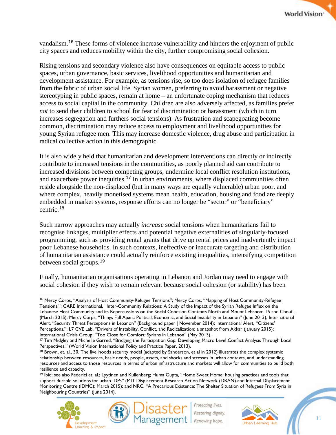vandalism.[16](#page-11-0) These forms of violence increase vulnerability and hinders the enjoyment of public city spaces and reduces mobility within the city, further compromising social cohesion.

Rising tensions and secondary violence also have consequences on equitable access to public spaces, urban governance, basic services, livelihood opportunities and humanitarian and development assistance. For example, as tensions rise, so too does isolation of refugee families from the fabric of urban social life. Syrian women, preferring to avoid harassment or negative stereotyping in public spaces, remain at home – an unfortunate coping mechanism that reduces access to social capital in the community. Children are also adversely affected, as families prefer *not* to send their children to school for fear of discrimination or harassment (which in turn increases segregation and furthers social tensions). As frustration and scapegoating become common, discrimination may reduce access to employment and livelihood opportunities for young Syrian refugee men. This may increase domestic violence, drug abuse and participation in radical collective action in this demographic.

It is also widely held that humanitarian and development interventions can directly or indirectly contribute to increased tensions in the communities, as poorly planned aid can contribute to increased divisions between competing groups, undermine local conflict resolution institutions, and exacerbate power inequities.<sup>[17](#page-11-1)</sup> In urban environments, where displaced communities often reside alongside the non-displaced (but in many ways are equally vulnerable) urban poor, and where complex, heavily monetised systems mean health, education, housing and food are deeply embedded in market systems, response efforts can no longer be "sector" or "beneficiary" centric.[18](#page-11-2)

Such narrow approaches may actually *increase* social tensions when humanitarians fail to recognise linkages, multiplier effects and potential negative externalities of singularly-focused programming, such as providing rental grants that drive up rental prices and inadvertently impact poor Lebanese households. In such contexts, ineffective or inaccurate targeting and distribution of humanitarian assistance could actually reinforce existing inequalities, intensifying competition between social groups.[19](#page-11-3)

Finally, humanitarian organisations operating in Lebanon and Jordan may need to engage with social cohesion if they wish to remain relevant because social cohesion (or stability) has been

<span id="page-11-3"></span><sup>19</sup> Ibid; see also Federici et. al.; Lyytinen and Kullenberg; Huma Gupta, "Home Sweet Home: housing practices and tools that support durable solutions for urban IDPs" (MIT Displacement Research Action Network (DRAN) and Internal Displacement Monitoring Centre (IDMC): March 2015); and NRC, "A Precarious Existence: The Shelter Situation of Refugees From Syria in Neighbouring Countries" (June 2014).





<span id="page-11-0"></span><sup>&</sup>lt;sup>16</sup> Mercy Corps, "Analysis of Host Community-Refugee Tensions": Mercy Corps, "Mapping of Host Community-Refugee Tensions,"; CARE International, "Inter-Community Relations: A Study of the Impact of the Syrian Refugee Influx on the Lebanese Host Community and its Repercussions on the Social Cohesion Contexts North and Mount Lebanon: T5 and Chouf", (March 2015); Mercy Corps, "Things Fall Apart: Political, Economic, and Social Instability in Lebanon" (June 2013); International Alert, "Security Threat Perceptions in Lebanon" (Background paper | November 2014); International Alert, "Citizens' Perceptions,"; L7 CVE Lab, "Drivers of Instability, Conflict, and Radicalization: a snapshot from Akkar (January 2015); International Crisis Group, "Too Close for Comfort: Syrians in Lebanon" (May 2013).

<span id="page-11-1"></span><sup>17</sup> Tim Midgley and Michelle Garred, "Bridging the Participation Gap: Developing Macro Level Conflict Analysis Through Local Perspectives," (World Vision International Policy and Practice Paper, 2013).

<span id="page-11-2"></span><sup>&</sup>lt;sup>18</sup> Brown, et. al., 30. The livelihoods security model (adapted by Sanderson, et al in 2012) illustrates the complex systemic relationship between resources, basic needs, people, assets, and shocks and stresses in urban contexts, and understanding resources and access to those resources in terms of urban infrastructure and markets will allow for communities to build both resilience and capacity.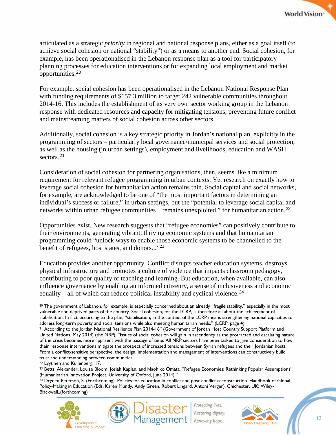articulated as a strategic *priority* in regional and national response plans, either as a goal itself (to achieve social cohesion or national "stability") or as a means to another end. Social cohesion, for example, has been operationalised in the Lebanon response plan as a tool for participatory planning processes for education interventions or for expanding local employment and market opportunities.[20](#page-12-0)

For example, social cohesion has been operationalised in the Lebanon National Response Plan with funding requirements of \$157.3 million to target 242 vulnerable communities throughout 2014-16. This includes the establishment of its very own sector working group in the Lebanon response with dedicated resources and capacity for mitigating tensions, preventing future conflict and mainstreaming matters of social cohesion across other sectors.

Additionally, social cohesion is a key strategic priority in Jordan's national plan, explicitly in the programming of sectors – particularly local governance/municipal services and social protection, as well as the housing (in urban settings), employment and livelihoods, education and WASH sectors.<sup>[21](#page-12-1)</sup>

Consideration of social cohesion for partnering organisations, then, seems like a minimum requirement for relevant refugee programming in urban contexts. Yet research on exactly how to leverage social cohesion for humanitarian action remains thin. Social capital and social networks, for example, are acknowledged to be one of "the most important factors in determining an individual's success or failure," in urban settings, but the "potential to leverage social capital and networks within urban refugee communities... remains unexploited," for humanitarian action.<sup>[22](#page-12-2)</sup>

Opportunities exist. New research suggests that "refugee economies" can positively contribute to their environments, generating vibrant, thriving economic systems and that humanitarian programming could "unlock ways to enable those economic systems to be channelled to the benefit of refugees, host states, and donors..."<sup>[23](#page-12-3)</sup>

Education provides another opportunity. Conflict disrupts teacher education systems, destroys physical infrastructure and promotes a culture of violence that impacts classroom pedagogy, contributing to poor quality of teaching and learning. But education, when available, can also influence governance by enabling an informed citizenry, a sense of inclusiveness and economic equality – all of which can reduce political instability and cyclical violence.<sup>[24](#page-12-4)</sup>

<span id="page-12-4"></span><sup>&</sup>lt;sup>24</sup> Dryden-Peterson, S. (Forthcoming). Policies for education in conflict and post-conflict reconstruction. Handbook of Global Policy-Making in Education (Eds. Karen Mundy, Andy Green, Robert Lingard, Antoni Verger). Chichester, UK: Wiley-Blackwell.,(forthcoming)





<span id="page-12-0"></span> $\overline{a}$ <sup>20</sup> The government of Lebanon, for example, is especially concerned about an already "fragile stability," especially in the most vulnerable and deprived parts of the country. Social cohesion, for the LCRP, is therefore all about the achievement of stabilisation. In fact, according to the plan, "stabilisation, in the context of the LCRP means strengthening national capacities to address long-term poverty and social tensions while also meeting humanitarian needs," (LCRP, page 4).

<span id="page-12-1"></span><sup>21</sup> According to the Jordan National Resilience Plan 2014-16" (Government of Jordan Host Country Support Platform and United Nations, May 2014) (the NRP), "Issues of social cohesion will gain in ascendency as the protracted and escalating nature of the crisis becomes more apparent with the passage of time. All NRP sectors have been tasked to give consideration to how their response interventions mitigate the prospect of increased tensions between Syrian refugees and their Jordanian hosts. From a conflict-sensitive perspective, the design, implementation and management of interventions can constructively build trust and understanding between communities.

<span id="page-12-2"></span><sup>22</sup> Lyytinen and Kullenberg, 17.

<span id="page-12-3"></span><sup>23</sup> Betts, Alexander, Louise Bloom, Josiah Kaplan, and Naohiko Omata, "Refugee Economies: Rethinking Popular Assumptions" (Humanitarian Innovation Project, University of Oxford, June 2014)."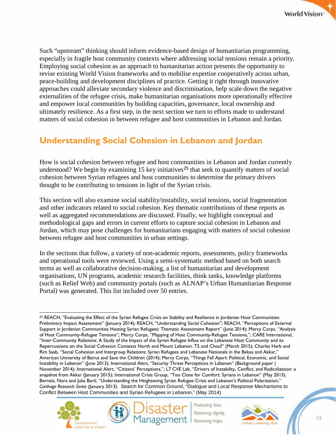Such "upstream" thinking should inform evidence-based design of humanitarian programming, especially in fragile host community contexts where addressing social tensions remain a priority. Employing social cohesion as an approach to humanitarian action presents the opportunity to revise existing World Vision frameworks and to mobilise expertise cooperatively across urban, peace-building and development disciplines of practice. Getting it right through innovative approaches could alleviate secondary violence and discrimination, help scale down the negative externalities of the refugee crisis, make humanitarian organisations more operationally effective and empower local communities by building capacities, governance, local ownership and ultimately resilience. As a first step, in the next section we turn to efforts made to understand matters of social cohesion in between refugee and host communities in Lebanon and Jordan.

## <span id="page-13-0"></span>**Understanding Social Cohesion in Lebanon and Jordan**

How is social cohesion between refugee and host communities in Lebanon and Jordan currently understood? We begin by examining  $15 \text{ key initiatives}^{25}$  $15 \text{ key initiatives}^{25}$  $15 \text{ key initiatives}^{25}$  that seek to quantify matters of social cohesion between Syrian refugees and host communities to determine the primary drivers thought to be contributing to tensions in light of the Syrian crisis.

This section will also examine social stability/instability, social tensions, social fragmentation and other indicators related to social cohesion. Key thematic contributions of these reports as well as aggregated recommendations are discussed. Finally, we highlight conceptual and methodological gaps and errors in current efforts to capture social cohesion in Lebanon and Jordan, which may pose challenges for humanitarians engaging with matters of social cohesion between refugee and host communities in urban settings.

In the sections that follow, a variety of non-academic reports, assessments, policy frameworks and operational tools were reviewed. Using a semi-systematic method based on both search terms as well as collaborative decision-making, a list of humanitarian and development organisations, UN programs, academic research facilities, think tanks, knowledge platforms (such as Relief Web) and community portals (such as ALNAP's Urban Humanitarian Response Portal) was generated. This list included over 50 entries.

<span id="page-13-1"></span> $\overline{a}$ <sup>25</sup> REACH, "Evaluating the Effect of the Syrian Refugee Crisis on Stability and Resilience in Jordanian Host Communities: Preliminary Impact Assessment" (January 2014); REACH, "Understanding Social Cohesion"; REACH, "Perceptions of External Support in Jordanian Communities Hosting Syrian Refugees: Thematic Assessment Report" (June 2014); Mercy Corps, "Analysis of Host Community-Refugee Tensions"; Mercy Corps, "Mapping of Host Community-Refugee Tensions,"; CARE International, "Inter-Community Relations: A Study of the Impact of the Syrian Refugee Influx on the Lebanese Host Community and its Repercussions on the Social Cohesion Contexts North and Mount Lebanon: T5 and Chouf" (March 2015); Charles Harb and Rim Saab, "Social Cohesion and Intergroup Relations: Syrian Refugees and Lebanese Nationals in the Bekaa and Akkar," American University of Beirut and Save the Children (2014); Mercy Corps, "Things Fall Apart: Political, Economic, and Social Instability in Lebanon" (June 2013); International Alert, "Security Threat Perceptions in Lebanon" (Background paper | November 2014); International Alert, "Citizens' Perceptions,"; L7 CVE Lab, "Drivers of Instability, Conflict, and Radicalization: a snapshot from Akkar (January 2015); International Crisis Group, "Too Close for Comfort: Syrians in Lebanon" (May 2013). Berneis, Nora and Julia Bartl, "Understanding the Heightening Syrian Refugee Crisis and Lebanon's Political Polarization," *Carthage Research Series* (January 2013). Search for Common Ground, "Dialogue and Local Response Mechanisms to Conflict Between Host Communities and Syrian Refugees in Lebanon," (May 2014)



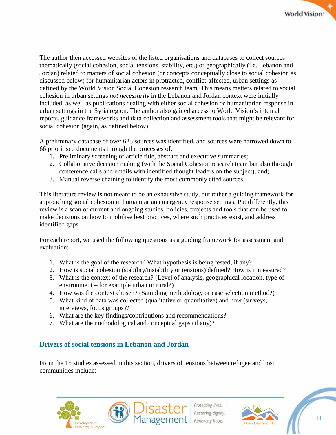The author then accessed websites of the listed organisations and databases to collect sources thematically (social cohesion, social tensions, stability, etc.) or geographically (i.e. Lebanon and Jordan) related to matters of social cohesion (or concepts conceptually close to social cohesion as discussed below) for humanitarian actors in protracted, conflict-affected, urban settings as defined by the World Vision Social Cohesion research team. This means matters related to social cohesion in urban settings *not necessarily* in the Lebanon and Jordan context were initially included, as well as publications dealing with either social cohesion *or* humanitarian response in urban settings in the Syria region. The author also gained access to World Vision's internal reports, guidance frameworks and data collection and assessment tools that might be relevant for social cohesion (again, as defined below).

A preliminary database of over 625 sources was identified, and sources were narrowed down to 66 prioritised documents through the processes of:

- 1. Preliminary screening of article title, abstract and executive summaries;
- 2. Collaborative decision making (with the Social Cohesion research team but also through conference calls and emails with identified thought leaders on the subject), and;
- 3. Manual reverse chaining to identify the most commonly cited sources.

This literature review is not meant to be an exhaustive study, but rather a guiding framework for approaching social cohesion in humanitarian emergency response settings. Put differently, this review is a scan of current and ongoing studies, policies, projects and tools that can be used to make decisions on how to mobilise best practices, where such practices exist, and address identified gaps.

For each report, we used the following questions as a guiding framework for assessment and evaluation:

- 1. What is the goal of the research? What hypothesis is being tested, if any?
- 2. How is social cohesion (stability/instability or tensions) defined? How is it measured?
- 3. What is the context of the research? (Level of analysis, geographical location, type of environment – for example urban or rural?)
- 4. How was the context chosen? (Sampling methodology or case selection method?)
- 5. What kind of data was collected (qualitative or quantitative) and how (surveys, interviews, focus groups)?
- 6. What are the key findings/contributions and recommendations?
- 7. What are the methodological and conceptual gaps (if any)?

## <span id="page-14-0"></span>**Drivers of social tensions in Lebanon and Jordan**

From the 15 studies assessed in this section, drivers of tensions between refugee and host communities include:





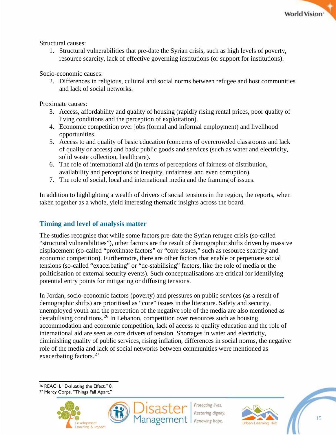

Structural causes:

1. Structural vulnerabilities that pre-date the Syrian crisis, such as high levels of poverty, resource scarcity, lack of effective governing institutions (or support for institutions).

Socio-economic causes:

2. Differences in religious, cultural and social norms between refugee and host communities and lack of social networks.

Proximate causes:

- 3. Access, affordability and quality of housing (rapidly rising rental prices, poor quality of living conditions and the perception of exploitation).
- 4. Economic competition over jobs (formal and informal employment) and livelihood opportunities.
- 5. Access to and quality of basic education (concerns of overcrowded classrooms and lack of quality or access) and basic public goods and services (such as water and electricity, solid waste collection, healthcare).
- 6. The role of international aid (in terms of perceptions of fairness of distribution, availability and perceptions of inequity, unfairness and even corruption).
- 7. The role of social, local and international media and the framing of issues.

In addition to highlighting a wealth of drivers of social tensions in the region, the reports, when taken together as a whole, yield interesting thematic insights across the board.

## <span id="page-15-0"></span>**Timing and level of analysis matter**

The studies recognise that while some factors pre-date the Syrian refugee crisis (so-called "structural vulnerabilities"), other factors are the result of demographic shifts driven by massive displacement (so-called "proximate factors" or "core issues," such as resource scarcity and economic competition). Furthermore, there are other factors that enable or perpetuate social tensions (so-called "exacerbating" or "de-stabilising" factors, like the role of media or the politicisation of external security events). Such conceptualisations are critical for identifying potential entry points for mitigating or diffusing tensions.

In Jordan, socio-economic factors (poverty) and pressures on public services (as a result of demographic shifts) are prioritised as "core" issues in the literature. Safety and security, unemployed youth and the perception of the negative role of the media are also mentioned as destabilising conditions.<sup>[26](#page-15-1)</sup> In Lebanon, competition over resources such as housing accommodation and economic competition, lack of access to quality education and the role of international aid are seen as core drivers of tension. Shortages in water and electricity, diminishing quality of public services, rising inflation, differences in social norms, the negative role of the media and lack of social networks between communities were mentioned as exacerbating factors.[27](#page-15-2)

 $\overline{a}$ <sup>26</sup> REACH, "Evaluating the Effect," 8.

<span id="page-15-2"></span><span id="page-15-1"></span><sup>27</sup> Mercy Corps, "Things Fall Apart."





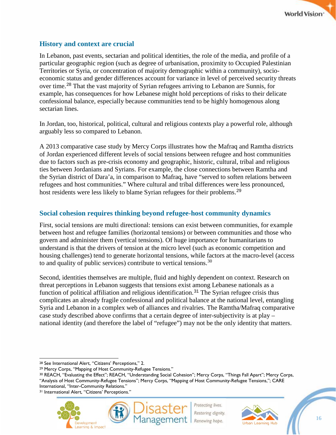

### <span id="page-16-0"></span>**History and context are crucial**

In Lebanon, past events, sectarian and political identities, the role of the media, and profile of a particular geographic region (such as degree of urbanisation, proximity to Occupied Palestinian Territories or Syria, or concentration of majority demographic within a community), socioeconomic status and gender differences account for variance in level of perceived security threats over time.[28](#page-16-2) That the vast majority of Syrian refugees arriving to Lebanon are Sunnis, for example, has consequences for how Lebanese might hold perceptions of risks to their delicate confessional balance, especially because communities tend to be highly homogenous along sectarian lines.

In Jordan, too, historical, political, cultural and religious contexts play a powerful role, although arguably less so compared to Lebanon.

A 2013 comparative case study by Mercy Corps illustrates how the Mafraq and Ramtha districts of Jordan experienced different levels of social tensions between refugee and host communities due to factors such as pre-crisis economy and geographic, historic, cultural, tribal and religious ties between Jordanians and Syrians. For example, the close connections between Ramtha and the Syrian district of Dara'a, in comparison to Mafraq, have "served to soften relations between refugees and host communities." Where cultural and tribal differences were less pronounced, host residents were less likely to blame Syrian refugees for their problems.<sup>[29](#page-16-3)</sup>

## <span id="page-16-1"></span>**Social cohesion requires thinking beyond refugee-host community dynamics**

First, social tensions are multi directional: tensions can exist between communities, for example between host and refugee families (horizontal tensions) or between communities and those who govern and administer them (vertical tensions). Of huge importance for humanitarians to understand is that the drivers of tension at the micro level (such as economic competition and housing challenges) tend to generate horizontal tensions, while factors at the macro-level (access to and quality of public services) contribute to vertical tensions.  $30$ 

Second, identities themselves are multiple, fluid and highly dependent on context. Research on threat perceptions in Lebanon suggests that tensions exist among Lebanese nationals as a function of political affiliation and religious identification.<sup>[31](#page-16-5)</sup> The Syrian refugee crisis thus complicates an already fragile confessional and political balance at the national level, entangling Syria and Lebanon in a complex web of alliances and rivalries. The Ramtha/Mafraq comparative case study described above confirms that a certain degree of inter-subjectivity is at play – national identity (and therefore the label of "refugee") may not be the only identity that matters.

 $\overline{a}$ 







<sup>28</sup> See International Alert, "Citizens' Perceptions," 2.

<span id="page-16-3"></span><span id="page-16-2"></span><sup>29</sup> Mercy Corps, "Mapping of Host Community-Refugee Tensions."

<span id="page-16-4"></span><sup>30</sup> REACH, "Evaluating the Effect"; REACH, "Understanding Social Cohesion"; Mercy Corps, "Things Fall Apart"; Mercy Corps, "Analysis of Host Community-Refugee Tensions"; Mercy Corps, "Mapping of Host Community-Refugee Tensions,"; CARE International, "Inter-Community Relations."

<span id="page-16-5"></span><sup>31</sup> International Alert, "Citizens' Perceptions."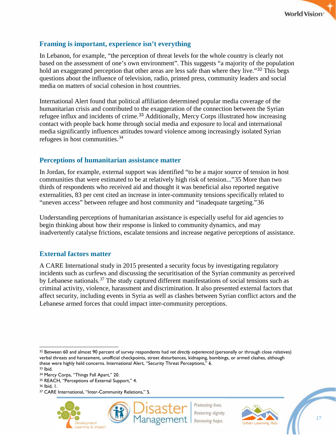

## <span id="page-17-0"></span>**Framing is important, experience isn't everything**

In Lebanon, for example, "the perception of threat levels for the whole country is clearly not based on the assessment of one's own environment". This suggests "a majority of the population hold an exaggerated perception that other areas are less safe than where they live."<sup>[32](#page-17-3)</sup> This begs questions about the influence of television, radio, printed press, community leaders and social media on matters of social cohesion in host countries.

International Alert found that political affiliation determined popular media coverage of the humanitarian crisis and contributed to the exaggeration of the connection between the Syrian refugee influx and incidents of crime.<sup>[33](#page-17-4)</sup> Additionally, Mercy Corps illustrated how increasing contact with people back home through social media and exposure to local and international media significantly influences attitudes toward violence among increasingly isolated Syrian refugees in host communities.[34](#page-17-5)

#### <span id="page-17-1"></span>**Perceptions of humanitarian assistance matter**

In Jordan, for example, external support was identified "to be a major source of tension in host communities that were estimated to be at relatively high risk of tension..."[35](#page-17-6) More than two thirds of respondents who received aid and thought it was beneficial also reported negative externalities, 83 per cent cited an increase in inter-community tensions specifically related to "uneven access" between refugee and host community and "inadequate targeting."[36](#page-17-7)

Understanding perceptions of humanitarian assistance is especially useful for aid agencies to begin thinking about how their response is linked to community dynamics, and may inadvertently catalyse frictions, escalate tensions and increase negative perceptions of assistance.

#### <span id="page-17-2"></span>**External factors matter**

A CARE International study in 2015 presented a security focus by investigating regulatory incidents such as curfews and discussing the securitisation of the Syrian community as perceived by Lebanese nationals.<sup>[37](#page-17-8)</sup> The study captured different manifestations of social tensions such as criminal activity, violence, harassment and discrimination. It also presented external factors that affect security, including events in Syria as well as clashes between Syrian conflict actors and the Lebanese armed forces that could impact inter-community perceptions.

<span id="page-17-3"></span> $\overline{a}$ <sup>32</sup> Between 60 and almost 90 percent of survey respondents had *not directly experienced* (personally or through close relatives) verbal threats and harassment, unofficial checkpoints, street disturbances, kidnaping, bombings, or armed clashes, although these were highly held concerns. International Alert, "Security Threat Perceptions," 6. <sup>33</sup> Ibid.

<span id="page-17-8"></span><sup>37</sup> CARE International, "Inter-Community Relations," 5.







<span id="page-17-5"></span><span id="page-17-4"></span><sup>34</sup> Mercy Corps, "Things Fall Apart," 20.

<span id="page-17-6"></span><sup>35</sup> REACH, "Perceptions of External Support," 4.

<span id="page-17-7"></span><sup>36</sup> Ibid, 1.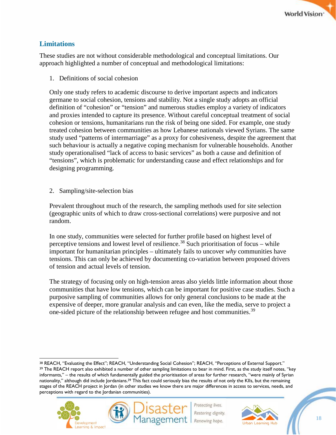## <span id="page-18-0"></span>**Limitations**

These studies are not without considerable methodological and conceptual limitations. Our approach highlighted a number of conceptual and methodological limitations:

1. Definitions of social cohesion

Only one study refers to academic discourse to derive important aspects and indicators germane to social cohesion, tensions and stability. Not a single study adopts an official definition of "cohesion" or "tension" and numerous studies employ a variety of indicators and proxies intended to capture its presence. Without careful conceptual treatment of social cohesion or tensions, humanitarians run the risk of being one sided. For example, one study treated cohesion between communities as how Lebanese nationals viewed Syrians. The same study used "patterns of intermarriage" as a proxy for cohesiveness, despite the agreement that such behaviour is actually a negative coping mechanism for vulnerable households. Another study operationalised "lack of access to basic services" as both a cause and definition of "tensions", which is problematic for understanding cause and effect relationships and for designing programming.

2. Sampling/site-selection bias

Prevalent throughout much of the research, the sampling methods used for site selection (geographic units of which to draw cross-sectional correlations) were purposive and not random.

In one study, communities were selected for further profile based on highest level of perceptive tensions and lowest level of resilience.<sup>[38](#page-18-1)</sup> Such prioritisation of focus – while important for humanitarian principles – ultimately fails to uncover *why* communities have tensions. This can only be achieved by documenting co-variation between proposed drivers of tension and actual levels of tension.

The strategy of focusing only on high-tension areas also yields little information about those communities that have low tensions, which can be important for positive case studies. Such a purposive sampling of communities allows for only general conclusions to be made at the expensive of deeper, more granular analysis and can even, like the media, serve to project a one-sided picture of the relationship between refugee and host communities.<sup>[39](#page-18-2)</sup>

<span id="page-18-2"></span><span id="page-18-1"></span> $\overline{a}$ <sup>38</sup> REACH, "Evaluating the Effect"; REACH, "Understanding Social Cohesion"; REACH, "Perceptions of External Support." <sup>39</sup> The REACH report also exhibited a number of other sampling limitations to bear in mind. First, as the study itself notes, "key informants," – the results of which fundamentally guided the prioritisation of areas for further research, "were mainly of Syrian nationality," although did include Jordanians.<sup>39</sup> This fact could seriously bias the results of not only the KIIs, but the remaining stages of the REACH project in Jordan (in other studies we know there are major differences in access to services, needs, and perceptions with regard to the Jordanian communities).



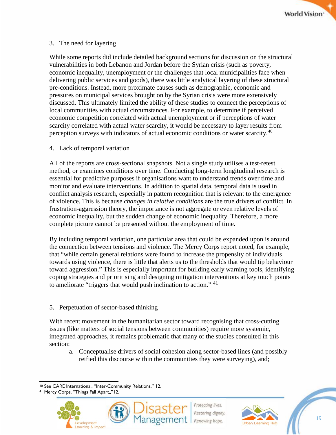

#### 3. The need for layering

While some reports did include detailed background sections for discussion on the structural vulnerabilities in both Lebanon and Jordan before the Syrian crisis (such as poverty, economic inequality, unemployment or the challenges that local municipalities face when delivering public services and goods), there was little analytical layering of these structural pre-conditions. Instead, more proximate causes such as demographic, economic and pressures on municipal services brought on by the Syrian crisis were more extensively discussed. This ultimately limited the ability of these studies to connect the perceptions of local communities with actual circumstances. For example, to determine if perceived economic competition correlated with actual unemployment or if perceptions of water scarcity correlated with actual water scarcity, it would be necessary to layer results from perception surveys with indicators of actual economic conditions or water scarcity.<sup>[40](#page-19-0)</sup>

#### 4. Lack of temporal variation

All of the reports are cross-sectional snapshots. Not a single study utilises a test-retest method, or examines conditions over time. Conducting long-term longitudinal research is essential for predictive purposes if organisations want to understand trends over time and monitor and evaluate interventions. In addition to spatial data, temporal data is used in conflict analysis research, especially in pattern recognition that is relevant to the emergence of violence. This is because *changes in relative conditions* are the true drivers of conflict. In frustration-aggression theory, the importance is not aggregate or even relative levels of economic inequality, but the sudden change of economic inequality. Therefore, a more complete picture cannot be presented without the employment of time.

By including temporal variation, one particular area that could be expanded upon is around the connection between tensions and violence. The Mercy Corps report noted, for example, that "while certain general relations were found to increase the propensity of individuals towards using violence, there is little that alerts us to the thresholds that would tip behaviour toward aggression." This is especially important for building early warning tools, identifying coping strategies and prioritising and designing mitigation interventions at key touch points to ameliorate "triggers that would push inclination to action." <sup>[41](#page-19-1)</sup>

#### 5. Perpetuation of sector-based thinking

With recent movement in the humanitarian sector toward recognising that cross-cutting issues (like matters of social tensions between communities) require more systemic, integrated approaches, it remains problematic that many of the studies consulted in this section:

a. Conceptualise drivers of social cohesion along sector-based lines (and possibly reified this discourse within the communities they were surveying), and;

<span id="page-19-1"></span><span id="page-19-0"></span><sup>41</sup> Mercy Corps, "Things Fall Apart,,"12.







 $\overline{a}$ <sup>40</sup> See CARE International, "Inter-Community Relations," 12.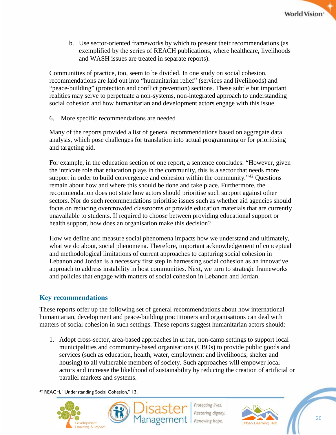

b. Use sector-oriented frameworks by which to present their recommendations (as exemplified by the series of REACH publications, where healthcare, livelihoods and WASH issues are treated in separate reports).

Communities of practice, too, seem to be divided. In one study on social cohesion, recommendations are laid out into "humanitarian relief" (services and livelihoods) and "peace-building" (protection and conflict prevention) sections. These subtle but important realities may serve to perpetuate a non-systems, non-integrated approach to understanding social cohesion and how humanitarian and development actors engage with this issue.

6. More specific recommendations are needed

Many of the reports provided a list of general recommendations based on aggregate data analysis, which pose challenges for translation into actual programming or for prioritising and targeting aid.

For example, in the education section of one report, a sentence concludes: "However, given the intricate role that education plays in the community, this is a sector that needs more support in order to build convergence and cohesion within the community.<sup> $142$  $142$ </sup> Questions remain about how and where this should be done and take place. Furthermore, the recommendation does not state how actors should prioritise such support against other sectors. Nor do such recommendations prioritise issues such as whether aid agencies should focus on reducing overcrowded classrooms or provide education materials that are currently unavailable to students. If required to choose between providing educational support or health support, how does an organisation make this decision?

How we define and measure social phenomena impacts how we understand and ultimately, what we do about, social phenomena. Therefore, important acknowledgement of conceptual and methodological limitations of current approaches to capturing social cohesion in Lebanon and Jordan is a necessary first step in harnessing social cohesion as an innovative approach to address instability in host communities. Next, we turn to strategic frameworks and policies that engage with matters of social cohesion in Lebanon and Jordan.

## <span id="page-20-0"></span>**Key recommendations**

These reports offer up the following set of general recommendations about how international humanitarian, development and peace-building practitioners and organisations can deal with matters of social cohesion in such settings. These reports suggest humanitarian actors should:

1. Adopt cross-sector, area-based approaches in urban, non-camp settings to support local municipalities and community-based organisations (CBOs) to provide public goods and services (such as education, health, water, employment and livelihoods, shelter and housing) to all vulnerable members of society. Such approaches will empower local actors and increase the likelihood of sustainability by reducing the creation of artificial or parallel markets and systems.

<span id="page-20-1"></span> $\overline{a}$ <sup>42</sup> REACH, "Understanding Social Cohesion," 13.





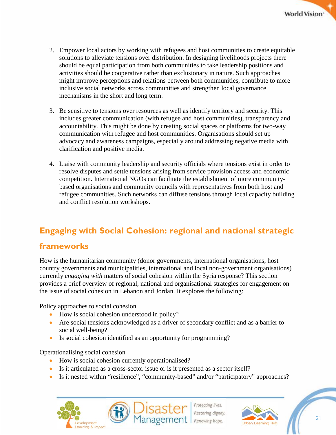- 2. Empower local actors by working with refugees and host communities to create equitable solutions to alleviate tensions over distribution. In designing livelihoods projects there should be equal participation from both communities to take leadership positions and activities should be cooperative rather than exclusionary in nature. Such approaches might improve perceptions and relations between both communities, contribute to more inclusive social networks across communities and strengthen local governance mechanisms in the short and long term.
- 3. Be sensitive to tensions over resources as well as identify territory and security. This includes greater communication (with refugee and host communities), transparency and accountability. This might be done by creating social spaces or platforms for two-way communication with refugee and host communities. Organisations should set up advocacy and awareness campaigns, especially around addressing negative media with clarification and positive media.
- 4. Liaise with community leadership and security officials where tensions exist in order to resolve disputes and settle tensions arising from service provision access and economic competition. International NGOs can facilitate the establishment of more communitybased organisations and community councils with representatives from both host and refugee communities. Such networks can diffuse tensions through local capacity building and conflict resolution workshops.

## <span id="page-21-0"></span>**Engaging with Social Cohesion: regional and national strategic**

## **frameworks**

How is the humanitarian community (donor governments, international organisations, host country governments and municipalities, international and local non-government organisations) currently *engaging with* matters of social cohesion within the Syria response? This section provides a brief overview of regional, national and organisational strategies for engagement on the issue of social cohesion in Lebanon and Jordan. It explores the following:

Policy approaches to social cohesion

- How is social cohesion understood in policy?
- Are social tensions acknowledged as a driver of secondary conflict and as a barrier to social well-being?
- Is social cohesion identified as an opportunity for programming?

Operationalising social cohesion

- How is social cohesion currently operationalised?
- Is it articulated as a cross-sector issue or is it presented as a sector itself?
- Is it nested within "resilience", "community-based" and/or "participatory" approaches?





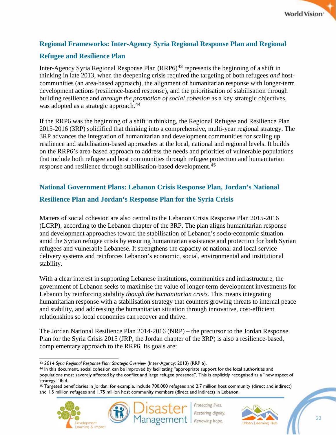

## <span id="page-22-0"></span>**Regional Frameworks: Inter-Agency Syria Regional Response Plan and Regional**

## **Refugee and Resilience Plan**

Inter-Agency Syria Regional Response Plan (RRP6)<sup>[43](#page-22-2)</sup> represents the beginning of a shift in thinking in late 2013, when the deepening crisis required the targeting of both refugees *and* hostcommunities (an area-based approach), the alignment of humanitarian response with longer-term development actions (resilience-based response), and the prioritisation of stabilisation through building resilience and *through the promotion of social cohesion* as a key strategic objectives, was adopted as a strategic approach.<sup>[44](#page-22-3)</sup>

If the RRP6 was the beginning of a shift in thinking, the Regional Refugee and Resilience Plan 2015-2016 (3RP) solidified that thinking into a comprehensive, multi-year regional strategy. The 3RP advances the integration of humanitarian and development communities for scaling up resilience and stabilisation-based approaches at the local, national and regional levels. It builds on the RRP6's area-based approach to address the needs and priorities of vulnerable populations that include both refugee and host communities through refugee protection and humanitarian response and resilience through stabilisation-based development.[45](#page-22-4)

## <span id="page-22-1"></span>**National Government Plans: Lebanon Crisis Response Plan, Jordan's National**

### **Resilience Plan and Jordan's Response Plan for the Syria Crisis**

Matters of social cohesion are also central to the Lebanon Crisis Response Plan 2015-2016 (LCRP), according to the Lebanon chapter of the 3RP. The plan aligns humanitarian response and development approaches toward the stabilisation of Lebanon's socio-economic situation amid the Syrian refugee crisis by ensuring humanitarian assistance and protection for both Syrian refugees and vulnerable Lebanese. It strengthens the capacity of national and local service delivery systems and reinforces Lebanon's economic, social, environmental and institutional stability.

With a clear interest in supporting Lebanese institutions, communities and infrastructure, the government of Lebanon seeks to maximise the value of longer-term development investments for Lebanon by reinforcing stability *though the humanitarian crisis.* This means integrating humanitarian response with a stabilisation strategy that counters growing threats to internal peace and stability, and addressing the humanitarian situation through innovative, cost-efficient relationships so local economies can recover and thrive.

The Jordan National Resilience Plan 2014-2016 (NRP) – the precursor to the Jordan Response Plan for the Syria Crisis 2015 (JRP, the Jordan chapter of the 3RP) is also a resilience-based, complementary approach to the RRP6. Its goals are:

<span id="page-22-4"></span><sup>45</sup> Targeted beneficiaries in Jordan, for example, include 700,000 refugees and 2.7 million host community (direct and indirect) and 1.5 million refugees and 1.75 million host community members (direct and indirect) in Lebanon.





 $\overline{a}$ <sup>43</sup> *2014 Syria Regional Response Plan: Strategic Overview* (Inter-Agency: 2013) (RRP 6).

<span id="page-22-3"></span><span id="page-22-2"></span><sup>44</sup> In this document, social cohesion can be improved by facilitating "appropriate support for the local authorities and populations most severely affected by the conflict and large refugee presence". This is explicitly recognised as a "new aspect of strategy," ibid.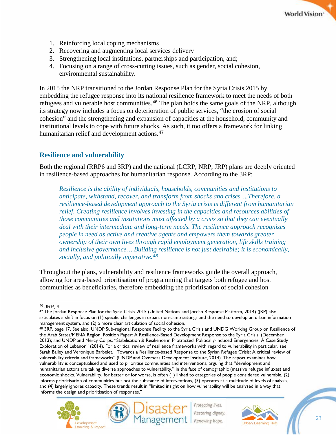

- 1. Reinforcing local coping mechanisms
- 2. Recovering and augmenting local services delivery
- 3. Strengthening local institutions, partnerships and participation, and;
- 4. Focusing on a range of cross-cutting issues, such as gender, social cohesion, environmental sustainability.

In 2015 the NRP transitioned to the Jordan Response Plan for the Syria Crisis 2015 by embedding the refugee response into its national resilience framework to meet the needs of both refugees and vulnerable host communities.[46](#page-23-1) The plan holds the same goals of the NRP, although its strategy now includes a focus on deterioration of public services, "the erosion of social cohesion" and the strengthening and expansion of capacities at the household, community and institutional levels to cope with future shocks. As such, it too offers a framework for linking humanitarian relief and development actions.<sup>[47](#page-23-2)</sup>

## <span id="page-23-0"></span>**Resilience and vulnerability**

Both the regional (RRP6 and 3RP) and the national (LCRP, NRP, JRP) plans are deeply oriented in resilience-based approaches for humanitarian response. According to the 3RP:

*Resilience is the ability of individuals, households, communities and institutions to anticipate, withstand, recover, and transform from shocks and crises….Therefore, a resilience-based development approach to the Syria crisis is different from humanitarian relief. Creating resilience involves investing in the capacities and resources abilities of those communities and institutions most affected by a crisis so that they can eventually deal with their intermediate and long-term needs. The resilience approach recognizes people in need as active and creative agents and empowers them towards greater ownership of their own lives through rapid employment generation, life skills training and inclusive governance….Building resilience is not just desirable; it is economically, socially, and politically imperative.[48](#page-23-3)*

Throughout the plans, vulnerability and resilience frameworks guide the overall approach, allowing for area-based prioritisation of programming that targets both refugee and host communities as beneficiaries, therefore embedding the prioritisation of social cohesion

<span id="page-23-3"></span>the Arab States/MENA Region, Position Paper: A Resilience-Based Development Response to the Syria Crisis, (December 2013); and UNDP and Mercy Corps, "Stabilisation & Resilience in Protracted, Politically-Induced Emergencies: A Case Study Exploration of Lebanon" (2014). For a critical review of resilience frameworks with regard to vulnerability in particular, see Sarah Bailey and Veronique Barbelet, "Towards a Resilience-based Response to the Syrian Refugee Crisis: A critical review of vulnerability criteria and frameworks" (UNDP and Overseas Development Institute, 2014). The report examines how vulnerability is conceptualised and used to prioritise communities and interventions, arguing that "development and humanitarian actors are taking diverse approaches to vulnerability," in the face of demographic (massive refugee influxes) and economic shocks. Vulnerability, for better or for worse, is often (1) linked to categories of people considered vulnerable, (2) informs prioritisation of communities but not the substance of interventions, (3) operates at a multitude of levels of analysis, and (4) largely ignores capacity. These trends result in "limited insight on how vulnerability will be analysed in a way that informs the design and prioritisation of responses."





<span id="page-23-1"></span> $\overline{a}$ <sup>46</sup> JRP, 9.

<span id="page-23-2"></span><sup>&</sup>lt;sup>47</sup> The Jordan Response Plan for the Syria Crisis 2015 (United Nations and Jordan Response Platform, 2014) (JRP) also articulates a shift in focus on (1) specific challenges in urban, non-camp settings and the need to develop an urban information management system, and (2) a more clear articulation of social cohesion.<br><sup>48</sup> 3RP, page 17. See also, UNDP Sub-regional Response Facility to the Syria Crisis and UNDG Working Group on Resilience of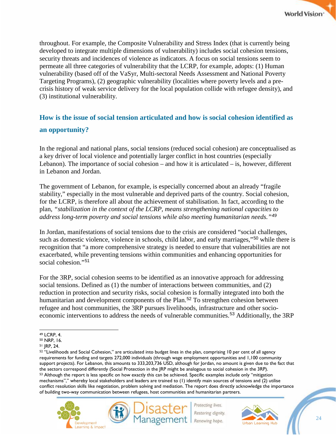throughout. For example, the Composite Vulnerability and Stress Index (that is currently being developed to integrate multiple dimensions of vulnerability) includes social cohesion tensions, security threats and incidences of violence as indicators. A focus on social tensions seem to permeate all three categories of vulnerability that the LCRP, for example, adopts: (1) Human vulnerability (based off of the VaSyr, Multi-sectoral Needs Assessment and National Poverty Targeting Programs), (2) geographic vulnerability (localities where poverty levels and a precrisis history of weak service delivery for the local population collide with refugee density), and (3) institutional vulnerability.

## <span id="page-24-0"></span>**How is the issue of social tension articulated and how is social cohesion identified as an opportunity?**

In the regional and national plans, social tensions (reduced social cohesion) are conceptualised as a key driver of local violence and potentially larger conflict in host countries (especially Lebanon). The importance of social cohesion – and how it is articulated – is, however, different in Lebanon and Jordan.

The government of Lebanon, for example, is especially concerned about an already "fragile stability," especially in the most vulnerable and deprived parts of the country. Social cohesion, for the LCRP, is therefore all about the achievement of stabilisation. In fact, according to the plan, *"stabilization in the context of the LCRP, means strengthening national capacities to address long-term poverty and social tensions while also meeting humanitarian needs."[49](#page-24-1)*

In Jordan, manifestations of social tensions due to the crisis are considered "social challenges, such as domestic violence, violence in schools, child labor, and early marriages,"<sup>[50](#page-24-2)</sup> while there is recognition that "a more comprehensive strategy is needed to ensure that vulnerabilities are not exacerbated, while preventing tensions within communities and enhancing opportunities for social cohesion."[51](#page-24-3)

For the 3RP, social cohesion seems to be identified as an innovative approach for addressing social tensions. Defined as (1) the number of interactions between communities, and (2) reduction in protection and security risks, social cohesion is formally integrated into both the humanitarian and development components of the Plan.<sup>[52](#page-24-4)</sup> To strengthen cohesion between refugee and host communities, the 3RP pursues livelihoods, infrastructure and other socio-economic interventions to address the needs of vulnerable communities.<sup>[53](#page-24-5)</sup> Additionally, the 3RP

<span id="page-24-5"></span><span id="page-24-4"></span><sup>52 &</sup>quot;Livelihoods and Social Cohesion," are articulated into budget lines in the plan, comprising 10 per cent of all agency requirements for funding and targets 272,000 individuals (through wage employment opportunities and 1,100 community support projects). For Lebanon, this amounts to 333,203,736 USD, although for Jordan, no amount is given due to the fact that the sectors correspond differently (Social Protection in the JRP might be analogous to social cohesion in the 3RP). 53 Although the report is less specific on how exactly this can be achieved. Specific examples include only "mitigation mechanisms"," whereby local stakeholders and leaders are trained to (1) identify main sources of tensions and (2) utilise conflict resolution skills like negotiation, problem solving and mediation. The report does directly acknowledge the importance of building two-way communication between refugees, host communities and humanitarian partners.





<span id="page-24-1"></span> $\overline{a}$ <sup>49</sup> LCRP, 4.

<span id="page-24-2"></span><sup>50</sup> NRP, 16.

<span id="page-24-3"></span><sup>51</sup> JRP, 24.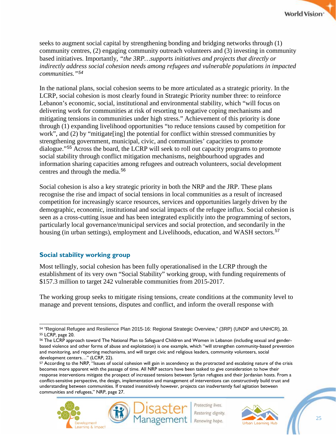seeks to augment social capital by strengthening bonding and bridging networks through (1) community centres, (2) engaging community outreach volunteers and (3) investing in community based initiatives. Importantly, *"the 3RP…supports initiatives and projects that directly or indirectly address social cohesion needs among refugees and vulnerable populations in impacted communities."[54](#page-25-1)*

In the national plans, social cohesion seems to be more articulated as a strategic priority. In the LCRP, social cohesion is most clearly found in Strategic Priority number three: to reinforce Lebanon's economic, social, institutional and environmental stability, which "will focus on delivering work for communities at risk of resorting to negative coping mechanisms and mitigating tensions in communities under high stress." Achievement of this priority is done through (1) expanding livelihood opportunities "to reduce tensions caused by competition for work", and (2) by "mitigate [ing] the potential for conflict within stressed communities by strengthening government, municipal, civic, and communities' capacities to promote dialogue."[55](#page-25-2) Across the board, the LCRP will seek to roll out capacity programs to promote social stability through conflict mitigation mechanisms, neighbourhood upgrades and information sharing capacities among refugees and outreach volunteers, social development centres and through the media.<sup>[56](#page-25-3)</sup>

Social cohesion is also a key strategic priority in both the NRP and the JRP. These plans recognise the rise and impact of social tensions in local communities as a result of increased competition for increasingly scarce resources, services and opportunities largely driven by the demographic, economic, institutional and social impacts of the refugee influx. Social cohesion is seen as a cross-cutting issue and has been integrated explicitly into the programming of sectors, particularly local governance/municipal services and social protection, and secondarily in the housing (in urban settings), employment and Livelihoods, education, and WASH sectors.<sup>[57](#page-25-4)</sup>

## <span id="page-25-0"></span>**Social stability working group**

Most tellingly, social cohesion has been fully operationalised in the LCRP through the establishment of its very own "Social Stability" working group, with funding requirements of \$157.3 million to target 242 vulnerable communities from 2015-2017.

The working group seeks to mitigate rising tensions, create conditions at the community level to manage and prevent tensions, disputes and conflict, and inform the overall response with

<span id="page-25-4"></span><sup>57</sup> According to the NRP, "Issues of social cohesion will gain in ascendency as the protracted and escalating nature of the crisis becomes more apparent with the passage of time. All NRP sectors have been tasked to give consideration to how their response interventions mitigate the prospect of increased tensions between Syrian refugees and their Jordanian hosts. From a conflict-sensitive perspective, the design, implementation and management of interventions can constructively build trust and understanding between communities. If treated insensitively however, projects can inadvertently fuel agitation between communities and refugees," NRP, page 27.





<span id="page-25-1"></span> $\overline{a}$ <sup>54</sup> "Regional Refugee and Resilience Plan 2015-16: Regional Strategic Overview," (3RP) (UNDP and UNHCR), 20. <sup>55</sup> LCRP, page 20.

<span id="page-25-3"></span><span id="page-25-2"></span><sup>56</sup> The LCRP approach toward The National Plan to Safeguard Children and Women in Lebanon (including sexual and genderbased violence and other forms of abuse and exploitation) is one example, which "will strengthen community-based prevention and monitoring, and reporting mechanisms, and will target civic and religious leaders, community volunteers, social development centers…" (LCRP, 22).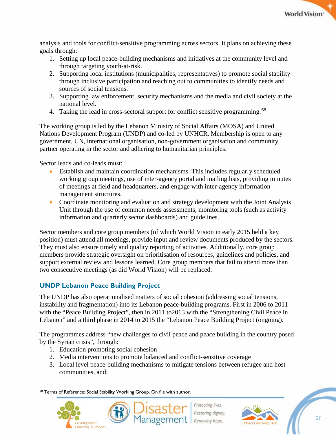

analysis and tools for conflict-sensitive programming across sectors. It plans on achieving these goals through:

- 1. Setting up local peace-building mechanisms and initiatives at the community level and through targeting youth-at-risk.
- 2. Supporting local institutions (municipalities, representatives) to promote social stability through inclusive participation and reaching out to communities to identify needs and sources of social tensions.
- 3. Supporting law enforcement, security mechanisms and the media and civil society at the national level.
- 4. Taking the lead in cross-sectoral support for conflict sensitive programming.[58](#page-26-1)

The working group is led by the Lebanon Ministry of Social Affairs (MOSA) and United Nations Development Program (UNDP) and co-led by UNHCR. Membership is open to any government, UN, international organisation, non-government organisation and community partner operating in the sector and adhering to humanitarian principles.

Sector leads and co-leads must:

- Establish and maintain coordination mechanisms. This includes regularly scheduled working group meetings, use of inter-agency portal and mailing lists, providing minutes of meetings at field and headquarters, and engage with inter-agency information management structures.
- Coordinate monitoring and evaluation and strategy development with the Joint Analysis Unit through the use of common needs assessments, monitoring tools (such as activity information and quarterly sector dashboards) and guidelines.

Sector members and core group members (of which World Vision in early 2015 held a key position) must attend all meetings, provide input and review documents produced by the sectors. They must also ensure timely and quality reporting of activities. Additionally, core group members provide strategic oversight on prioritisation of resources, guidelines and policies, and support external review and lessons learned. Core group members that fail to attend more than two consecutive meetings (as did World Vision) will be replaced.

## <span id="page-26-0"></span>**UNDP Lebanon Peace Building Project**

The UNDP has also operationalised matters of social cohesion (addressing social tensions, instability and fragmentation) into its Lebanon peace-building programs. First in 2006 to 2011 with the "Peace Building Project", then in 2011 to 2013 with the "Strengthening Civil Peace in Lebanon" and a third phase in 2014 to 2015 the "Lebanon Peace Building Project (ongoing).

The programmes address "new challenges to civil peace and peace building in the country posed by the Syrian crisis", through:

- 1. Education promoting social cohesion
- 2. Media interventions to promote balanced and conflict-sensitive coverage
- 3. Local level peace-building mechanisms to mitigate tensions between refugee and host communities, and;

<span id="page-26-1"></span> $\overline{a}$ 58 Terms of Reference: Social Stability Working Group. On file with author.







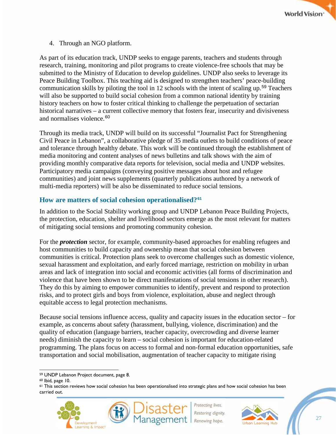

4. Through an NGO platform.

As part of its education track, UNDP seeks to engage parents, teachers and students through research, training, monitoring and pilot programs to create violence-free schools that may be submitted to the Ministry of Education to develop guidelines. UNDP also seeks to leverage its Peace Building Toolbox. This teaching aid is designed to strengthen teachers' peace-building communication skills by piloting the tool in 12 schools with the intent of scaling up.[59](#page-27-1) Teachers will also be supported to build social cohesion from a common national identity by training history teachers on how to foster critical thinking to challenge the perpetuation of sectarian historical narratives – a current collective memory that fosters fear, insecurity and divisiveness and normalises violence.[60](#page-27-2)

Through its media track, UNDP will build on its successful "Journalist Pact for Strengthening Civil Peace in Lebanon", a collaborative pledge of 35 media outlets to build conditions of peace and tolerance through healthy debate. This work will be continued through the establishment of media monitoring and content analyses of news bulletins and talk shows with the aim of providing monthly comparative data reports for television, social media and UNDP websites. Participatory media campaigns (conveying positive messages about host and refugee communities) and joint news supplements (quarterly publications authored by a network of multi-media reporters) will be also be disseminated to reduce social tensions.

### <span id="page-27-0"></span>**How are matters of social cohesion operationalised?[61](#page-27-3)**

In addition to the Social Stability working group and UNDP Lebanon Peace Building Projects, the protection, education, shelter and livelihood sectors emerge as the most relevant for matters of mitigating social tensions and promoting community cohesion.

For the *protection* sector, for example, community-based approaches for enabling refugees and host communities to build capacity and ownership mean that social cohesion between communities is critical. Protection plans seek to overcome challenges such as domestic violence, sexual harassment and exploitation, and early forced marriage, restriction on mobility in urban areas and lack of integration into social and economic activities (all forms of discrimination and violence that have been shown to be direct manifestations of social tensions in other research). They do this by aiming to empower communities to identify, prevent and respond to protection risks, and to protect girls and boys from violence, exploitation, abuse and neglect through equitable access to legal protection mechanisms.

Because social tensions influence access, quality and capacity issues in the education sector – for example, as concerns about safety (harassment, bullying, violence, discrimination) and the quality of education (language barriers, teacher capacity, overcrowding and diverse learner needs) diminish the capacity to learn – social cohesion is important for education-related programming. The plans focus on access to formal and non-formal education opportunities, safe transportation and social mobilisation, augmentation of teacher capacity to mitigate rising

<span id="page-27-3"></span><sup>&</sup>lt;sup>61</sup> This section reviews how social cohesion has been operationalised into strategic plans and how social cohesion has been carried out.







 $\overline{a}$ <sup>59</sup> UNDP Lebanon Project document, page 8.

<span id="page-27-2"></span><span id="page-27-1"></span><sup>60</sup> Ibid, page 10.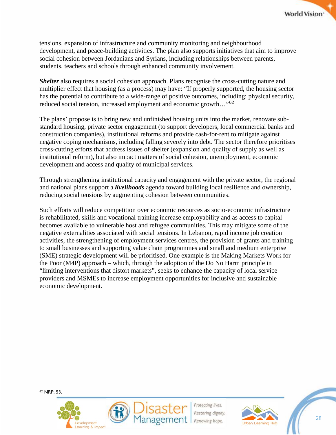

tensions, expansion of infrastructure and community monitoring and neighbourhood development, and peace-building activities. The plan also supports initiatives that aim to improve social cohesion between Jordanians and Syrians, including relationships between parents, students, teachers and schools through enhanced community involvement.

**Shelter** also requires a social cohesion approach. Plans recognise the cross-cutting nature and multiplier effect that housing (as a process) may have: "If properly supported, the housing sector has the potential to contribute to a wide-range of positive outcomes, including: physical security, reduced social tension, increased employment and economic growth…"[62](#page-28-0)

The plans' propose is to bring new and unfinished housing units into the market, renovate substandard housing, private sector engagement (to support developers, local commercial banks and construction companies), institutional reforms and provide cash-for-rent to mitigate against negative coping mechanisms, including falling severely into debt. The sector therefore prioritises cross-cutting efforts that address issues of shelter (expansion and quality of supply as well as institutional reform), but also impact matters of social cohesion, unemployment, economic development and access and quality of municipal services.

Through strengthening institutional capacity and engagement with the private sector, the regional and national plans support a *livelihoods* agenda toward building local resilience and ownership, reducing social tensions by augmenting cohesion between communities.

Such efforts will reduce competition over economic resources as socio-economic infrastructure is rehabilitated, skills and vocational training increase employability and as access to capital becomes available to vulnerable host and refugee communities. This may mitigate some of the negative externalities associated with social tensions. In Lebanon, rapid income job creation activities, the strengthening of employment services centres, the provision of grants and training to small businesses and supporting value chain programmes and small and medium enterprise (SME) strategic development will be prioritised. One example is the Making Markets Work for the Poor (M4P) approach – which, through the adoption of the Do No Harm principle in "limiting interventions that distort markets", seeks to enhance the capacity of local service providers and MSMEs to increase employment opportunities for inclusive and sustainable economic development.

<span id="page-28-0"></span> $\overline{a}$ <sup>62</sup> NRP, 53.





rotecting lives Restoring dignity Renewing hope.



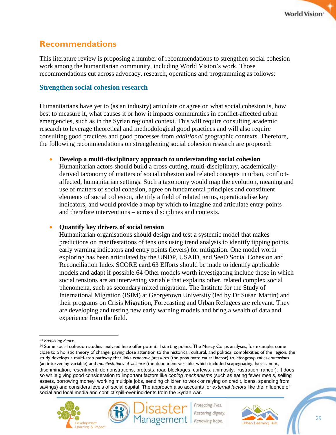## <span id="page-29-0"></span>**Recommendations**

This literature review is proposing a number of recommendations to strengthen social cohesion work among the humanitarian community, including World Vision's work. Those recommendations cut across advocacy, research, operations and programming as follows:

### <span id="page-29-1"></span>**Strengthen social cohesion research**

Humanitarians have yet to (as an industry) articulate or agree on what social cohesion is, how best to measure it, what causes it or how it impacts communities in conflict-affected urban emergencies, such as in the Syrian regional context. This will require consulting academic research to leverage theoretical and methodological good practices and will also require consulting good practices and good processes from *additional* geographic contexts. Therefore, the following recommendations on strengthening social cohesion research are proposed:

#### • **Develop a multi-disciplinary approach to understanding social cohesion**

Humanitarian actors should build a cross-cutting, multi-disciplinary, academicallyderived taxonomy of matters of social cohesion and related concepts in urban, conflictaffected, humanitarian settings. Such a taxonomy would map the evolution, meaning and use of matters of social cohesion, agree on fundamental principles and constituent elements of social cohesion, identify a field of related terms, operationalise key indicators, and would provide a map by which to imagine and articulate entry-points – and therefore interventions – across disciplines and contexts.

#### • **Quantify key drivers of social tension**

Humanitarian organisations should design and test a systemic model that makes predictions on manifestations of tensions using trend analysis to identify tipping points, early warning indicators and entry points (levers) for mitigation. One model worth exploring has been articulated by the UNDP, USAID, and SeeD Social Cohesion and Reconciliation Index SCORE card.[63](#page-29-2) Efforts should be made to identify applicable models and adapt if possible.[64](#page-29-3) Other models worth investigating include those in which social tensions are an intervening variable that explains other, related complex social phenomena, such as secondary mixed migration. The Institute for the Study of International Migration (ISIM) at Georgetown University (led by Dr Susan Martin) and their programs on Crisis Migration, Forecasting and Urban Refugees are relevant. They are developing and testing new early warning models and bring a wealth of data and experience from the field.

<span id="page-29-3"></span><sup>64</sup> Some social cohesion studies analysed here offer potential starting points. The Mercy Corps analyses, for example, come close to a holistic theory of change: paying close attention to the historical, cultural, and political complexities of the region, the study develops a multi-step pathway that links *economic pressures* (the proximate causal factor) to *inter-group cohesion/tensions* (an intervening variable) and *manifestations of violence* (the dependent variable, which included scapegoating, harassment, discrimination, resentment, demonstrations, protests, road blockages, curfews, animosity, frustration, rancor). It does so while giving good consideration to important factors like *coping mechanisms* (such as eating fewer meals, selling assets, borrowing money, working multiple jobs, sending children to work or relying on credit, loans, spending from savings) and considers levels of social capital. The approach also accounts for *external factors* like the influence of social and local media and conflict spill-over incidents from the Syrian war.







<span id="page-29-2"></span> $\overline{a}$ <sup>63</sup> *Predicting Peace.*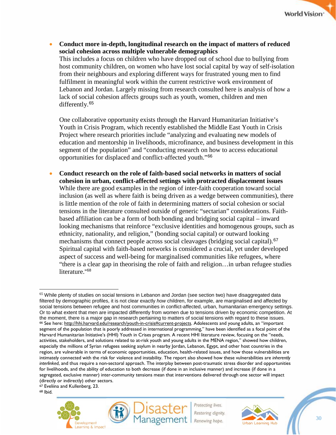

• **Conduct more in-depth, longitudinal research on the impact of matters of reduced social cohesion across multiple vulnerable demographics** This includes a focus on children who have dropped out of school due to bullying from host community children, on women who have lost social capital by way of self-isolation from their neighbours and exploring different ways for frustrated young men to find fulfilment in meaningful work within the current restrictive work environment of Lebanon and Jordan. Largely missing from research consulted here is analysis of how a lack of social cohesion affects groups such as youth, women, children and men differently.<sup>[65](#page-30-0)</sup>

One collaborative opportunity exists through the Harvard Humanitarian Initiative's Youth in Crisis Program, which recently established the Middle East Youth in Crisis Project where research priorities include "analyzing and evaluating new models of education and mentorship in livelihoods, microfinance, and business development in this segment of the population" and "conducting research on how to access educational opportunities for displaced and conflict-affected youth."[66](#page-30-1)

• **Conduct research on the role of faith-based social networks in matters of social cohesion in urban, conflict-affected settings with protracted displacement issues** While there are good examples in the region of inter-faith cooperation toward social inclusion (as well as where faith is being driven as a wedge between communities), there is little mention of the role of faith in determining matters of social cohesion or social tensions in the literature consulted outside of generic "sectarian" considerations. Faithbased affiliation can be a form of both bonding and bridging social capital – inward looking mechanisms that reinforce "exclusive identities and homogenous groups, such as ethnicity, nationality, and religion," (bonding social capital) or outward looking mechanisms that connect people across social cleavages (bridging social capital).<sup>[67](#page-30-2)</sup> Spiritual capital with faith-based networks is considered a crucial, yet under developed aspect of success and well-being for marginalised communities like refugees, where "there is a clear gap in theorising the role of faith and religion…in urban refugee studies literature."[68](#page-30-3)

<span id="page-30-2"></span><sup>67</sup> Eveliina and Kullenberg, 23.

<span id="page-30-3"></span><sup>68</sup> Ibid.





<span id="page-30-1"></span><span id="page-30-0"></span><sup>&</sup>lt;sup>65</sup> While plenty of studies on social tensions in Lebanon and Jordan (see section two) have disaggregated data filtered by demographic profiles, it is not clear exactly *how* children, for example, are marginalised and affected by social tensions between refugee and host communities in conflict-affected, urban, humanitarian emergency settings. Or to what extent that men are impacted differently from women due to tensions driven by economic competition. At the moment, there is a major gap in research pertaining to matters of social tensions with regard to these issues. 66 See here: [http://hhi.harvard.edu/research/youth-in-crisis#current-projects.](http://hhi.harvard.edu/research/youth-in-crisis%23current-projects) Adolescents and young adults, an "important segment of the population that is poorly addressed in international programming," have been identified as a focal point of the Harvard Humanitarian Initiative's (HHI) Youth in Crises program. A recent HHI literature review, focusing on the "needs, activities, stakeholders, and solutions related to at-risk youth and young adults in the MENA region," showed how children, especially the millions of Syrian refugees seeking asylum in nearby Jordan, Lebanon, Egypt, and other host countries in the region, are vulnerable in terms of economic opportunities, education, health-related issues, and how those vulnerabilities are intimately connected with the risk for violence and instability. The report also showed how these vulnerabilities are *inherently interlinked*, and thus require a non-sectoral approach. The interplay between post-traumatic stress disorder and opportunities for livelihoods, and the ability of education to both decrease (if done in an inclusive manner) and increase (if done in a segregated, exclusive manner) inter-community tensions mean that interventions delivered through one sector will impact (directly or indirectly) other sectors.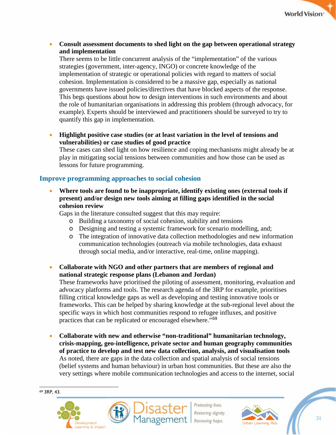

• **Consult assessment documents to shed light on the gap between operational strategy and implementation**

There seems to be little concurrent analysis of the "implementation" of the various strategies (government, inter-agency, INGO) or concrete knowledge of the implementation of strategic or operational policies with regard to matters of social cohesion. Implementation is considered to be a massive gap, especially as national governments have issued policies/directives that have blocked aspects of the response. This begs questions about how to design interventions in such environments and about the role of humanitarian organisations in addressing this problem (through advocacy, for example). Experts should be interviewed and practitioners should be surveyed to try to quantify this gap in implementation.

• **Highlight positive case studies (or at least variation in the level of tensions and vulnerabilities) or case studies of good practice**

These cases can shed light on how resilience and coping mechanisms might already be at play in mitigating social tensions between communities and how those can be used as lessons for future programming.

## <span id="page-31-0"></span>**Improve programming approaches to social cohesion**

• **Where tools are found to be inappropriate, identify existing ones (external tools if present) and/or design new tools aiming at filling gaps identified in the social cohesion review**

Gaps in the literature consulted suggest that this may require:

- o Building a taxonomy of social cohesion, stability and tensions
- o Designing and testing a systemic framework for scenario modelling, and;
- o The integration of innovative data collection methodologies and new information communication technologies (outreach via mobile technologies, data exhaust through social media, and/or interactive, real-time, online mapping).
- **Collaborate with NGO and other partners that are members of regional and national strategic response plans (Lebanon and Jordan)**

These frameworks have prioritised the piloting of assessment, monitoring, evaluation and advocacy platforms and tools. The research agenda of the 3RP for example, prioritises filling critical knowledge gaps as well as developing and testing innovative tools or frameworks. This can be helped by sharing knowledge at the sub-regional level about the specific ways in which host communities respond to refugee influxes, and positive practices that can be replicated or encouraged elsewhere."[69](#page-31-1)

• **Collaborate with new and otherwise "non-traditional" humanitarian technology, crisis-mapping, geo-intelligence, private sector and human geography communities of practice to develop and test new data collection, analysis, and visualisation tools**  As noted, there are gaps in the data collection and spatial analysis of social tensions (belief systems and human behaviour) in urban host communities. But these are also the very settings where mobile communication technologies and access to the internet, social

<span id="page-31-1"></span>

 $\overline{a}$ 





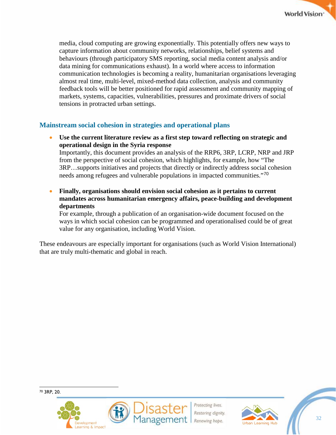media, cloud computing are growing exponentially. This potentially offers new ways to capture information about community networks, relationships, belief systems and behaviours (through participatory SMS reporting, social media content analysis and/or data mining for communications exhaust). In a world where access to information communication technologies is becoming a reality, humanitarian organisations leveraging almost real time, multi-level, mixed-method data collection, analysis and community feedback tools will be better positioned for rapid assessment and community mapping of markets, systems, capacities, vulnerabilities, pressures and proximate drivers of social tensions in protracted urban settings.

## <span id="page-32-0"></span>**Mainstream social cohesion in strategies and operational plans**

• **Use the current literature review as a first step toward reflecting on strategic and operational design in the Syria response** 

Importantly, this document provides an analysis of the RRP6, 3RP, LCRP, NRP and JRP from the perspective of social cohesion, which highlights, for example, how "The 3RP…supports initiatives and projects that directly or indirectly address social cohesion needs among refugees and vulnerable populations in impacted communities."<sup>[70](#page-32-1)</sup>

• **Finally, organisations should envision social cohesion as it pertains to current mandates across humanitarian emergency affairs, peace-building and development departments** 

For example, through a publication of an organisation-wide document focused on the ways in which social cohesion can be programmed and operationalised could be of great value for any organisation, including World Vision.

These endeavours are especially important for organisations (such as World Vision International) that are truly multi-thematic and global in reach.

<span id="page-32-1"></span>





Restoring dignity Renewing hope.

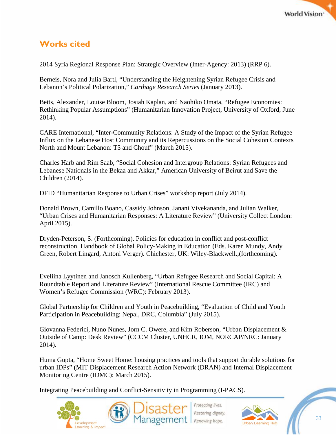

## <span id="page-33-0"></span>**Works cited**

2014 Syria Regional Response Plan: Strategic Overview (Inter-Agency: 2013) (RRP 6).

Berneis, Nora and Julia Bartl, "Understanding the Heightening Syrian Refugee Crisis and Lebanon's Political Polarization," *Carthage Research Series* (January 2013).

Betts, Alexander, Louise Bloom, Josiah Kaplan, and Naohiko Omata, "Refugee Economies: Rethinking Popular Assumptions" (Humanitarian Innovation Project, University of Oxford, June 2014).

CARE International, "Inter-Community Relations: A Study of the Impact of the Syrian Refugee Influx on the Lebanese Host Community and its Repercussions on the Social Cohesion Contexts North and Mount Lebanon: T5 and Chouf" (March 2015).

Charles Harb and Rim Saab, "Social Cohesion and Intergroup Relations: Syrian Refugees and Lebanese Nationals in the Bekaa and Akkar," American University of Beirut and Save the Children (2014).

DFID "Humanitarian Response to Urban Crises" workshop report (July 2014).

Donald Brown, Camillo Boano, Cassidy Johnson, Janani Vivekananda, and Julian Walker, "Urban Crises and Humanitarian Responses: A Literature Review" (University Collect London: April 2015).

Dryden-Peterson, S. (Forthcoming). Policies for education in conflict and post-conflict reconstruction. Handbook of Global Policy-Making in Education (Eds. Karen Mundy, Andy Green, Robert Lingard, Antoni Verger). Chichester, UK: Wiley-Blackwell.,(forthcoming).

Eveliina Lyytinen and Janosch Kullenberg, "Urban Refugee Research and Social Capital: A Roundtable Report and Literature Review" (International Rescue Committee (IRC) and Women's Refugee Commission (WRC): February 2013).

Global Partnership for Children and Youth in Peacebuilding, "Evaluation of Child and Youth Participation in Peacebuilding: Nepal, DRC, Columbia" (July 2015).

Giovanna Federici, Nuno Nunes, Jorn C. Owere, and Kim Roberson, "Urban Displacement & Outside of Camp: Desk Review" (CCCM Cluster, UNHCR, IOM, NORCAP/NRC: January 2014).

Huma Gupta, "Home Sweet Home: housing practices and tools that support durable solutions for urban IDPs" (MIT Displacement Research Action Network (DRAN) and Internal Displacement Monitoring Centre (IDMC): March 2015).

Integrating Peacebuilding and Conflict-Sensitivity in Programming (I-PACS).





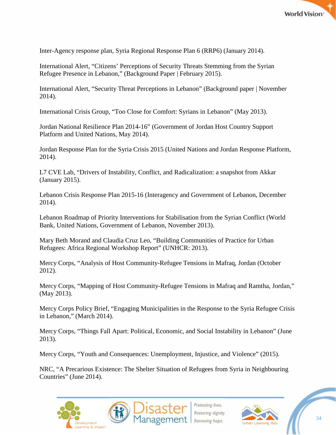

Inter-Agency response plan, Syria Regional Response Plan 6 (RRP6) (January 2014).

International Alert, "Citizens' Perceptions of Security Threats Stemming from the Syrian Refugee Presence in Lebanon," (Background Paper | February 2015).

International Alert, "Security Threat Perceptions in Lebanon" (Background paper | November 2014).

International Crisis Group, "Too Close for Comfort: Syrians in Lebanon" (May 2013).

Jordan National Resilience Plan 2014-16" (Government of Jordan Host Country Support Platform and United Nations, May 2014).

Jordan Response Plan for the Syria Crisis 2015 (United Nations and Jordan Response Platform, 2014).

L7 CVE Lab, "Drivers of Instability, Conflict, and Radicalization: a snapshot from Akkar (January 2015).

Lebanon Crisis Response Plan 2015-16 (Interagency and Government of Lebanon, December 2014).

Lebanon Roadmap of Priority Interventions for Stabilisation from the Syrian Conflict (World Bank, United Nations, Government of Lebanon, November 2013).

Mary Beth Morand and Claudia Cruz Leo, "Building Communities of Practice for Urban Refugees: Africa Regional Workshop Report" (UNHCR: 2013).

Mercy Corps, "Analysis of Host Community-Refugee Tensions in Mafraq, Jordan (October 2012).

Mercy Corps, "Mapping of Host Community-Refugee Tensions in Mafraq and Ramtha, Jordan," (May 2013).

Mercy Corps Policy Brief, "Engaging Municipalities in the Response to the Syria Refugee Crisis in Lebanon," (March 2014).

Mercy Corps, "Things Fall Apart: Political, Economic, and Social Instability in Lebanon" (June 2013).

Mercy Corps, "Youth and Consequences: Unemployment, Injustice, and Violence" (2015).

NRC, "A Precarious Existence: The Shelter Situation of Refugees from Syria in Neighbouring Countries" (June 2014).



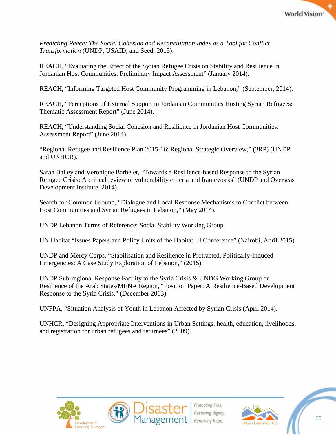

*Predicting Peace: The Social Cohesion and Reconciliation Index as a Tool for Conflict Transformation* (UNDP, USAID, and Seed: 2015).

REACH, "Evaluating the Effect of the Syrian Refugee Crisis on Stability and Resilience in Jordanian Host Communities: Preliminary Impact Assessment" (January 2014).

REACH, "Informing Targeted Host Community Programming in Lebanon," (September, 2014).

REACH, "Perceptions of External Support in Jordanian Communities Hosting Syrian Refugees: Thematic Assessment Report" (June 2014).

REACH, "Understanding Social Cohesion and Resilience in Jordanian Host Communities: Assessment Report" (June 2014).

"Regional Refugee and Resilience Plan 2015-16: Regional Strategic Overview," (3RP) (UNDP and UNHCR).

Sarah Bailey and Veronique Barbelet, "Towards a Resilience-based Response to the Syrian Refugee Crisis: A critical review of vulnerability criteria and frameworks" (UNDP and Overseas Development Institute, 2014).

Search for Common Ground, "Dialogue and Local Response Mechanisms to Conflict between Host Communities and Syrian Refugees in Lebanon," (May 2014).

UNDP Lebanon Terms of Reference: Social Stability Working Group.

UN Habitat "Issues Papers and Policy Units of the Habitat III Conference" (Nairobi, April 2015).

UNDP and Mercy Corps, "Stabilisation and Resilience in Protracted, Politically-Induced Emergencies: A Case Study Exploration of Lebanon," (2015).

UNDP Sub-regional Response Facility to the Syria Crisis & UNDG Working Group on Resilience of the Arab States/MENA Region, "Position Paper: A Resilience-Based Development Response to the Syria Crisis," (December 2013)

UNFPA, "Situation Analysis of Youth in Lebanon Affected by Syrian Crisis (April 2014).

UNHCR, "Designing Appropriate Interventions in Urban Settings: health, education, livelihoods, and registration for urban refugees and returnees" (2009).